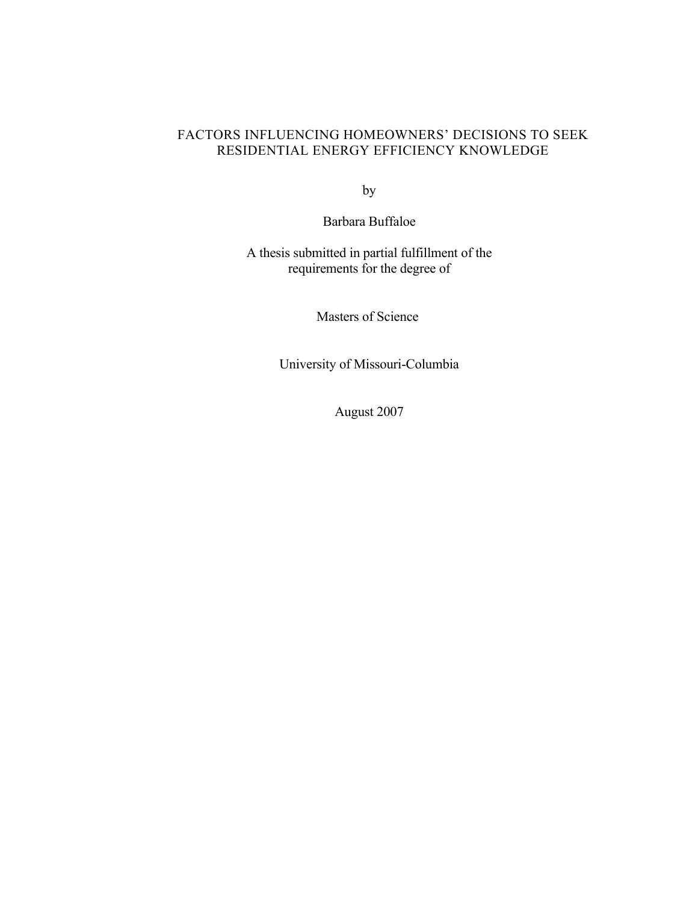## FACTORS INFLUENCING HOMEOWNERS' DECISIONS TO SEEK RESIDENTIAL ENERGY EFFICIENCY KNOWLEDGE

by

Barbara Buffaloe

A thesis submitted in partial fulfillment of the requirements for the degree of

Masters of Science

University of Missouri-Columbia

August 2007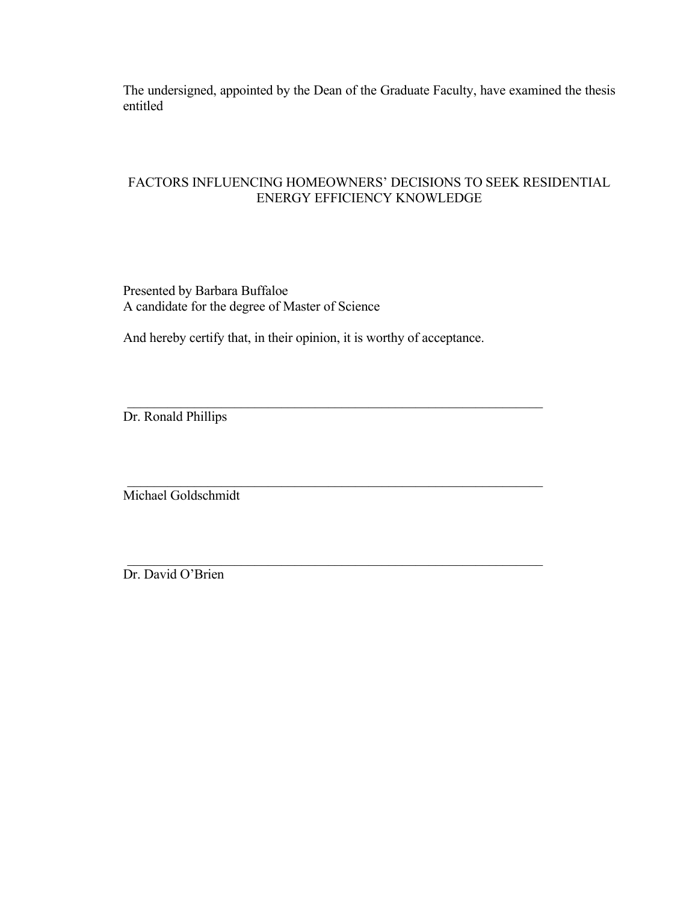The undersigned, appointed by the Dean of the Graduate Faculty, have examined the thesis entitled

## FACTORS INFLUENCING HOMEOWNERS' DECISIONS TO SEEK RESIDENTIAL ENERGY EFFICIENCY KNOWLEDGE

Presented by Barbara Buffaloe A candidate for the degree of Master of Science

And hereby certify that, in their opinion, it is worthy of acceptance.

\_\_\_\_\_\_\_\_\_\_\_\_\_\_\_\_\_\_\_\_\_\_\_\_\_\_\_\_\_\_\_\_\_\_\_\_\_\_\_\_\_\_\_\_\_\_\_\_\_\_\_\_\_\_\_\_\_\_\_\_\_\_

\_\_\_\_\_\_\_\_\_\_\_\_\_\_\_\_\_\_\_\_\_\_\_\_\_\_\_\_\_\_\_\_\_\_\_\_\_\_\_\_\_\_\_\_\_\_\_\_\_\_\_\_\_\_\_\_\_\_\_\_\_\_

\_\_\_\_\_\_\_\_\_\_\_\_\_\_\_\_\_\_\_\_\_\_\_\_\_\_\_\_\_\_\_\_\_\_\_\_\_\_\_\_\_\_\_\_\_\_\_\_\_\_\_\_\_\_\_\_\_\_\_\_\_\_

Dr. Ronald Phillips

Michael Goldschmidt

Dr. David O'Brien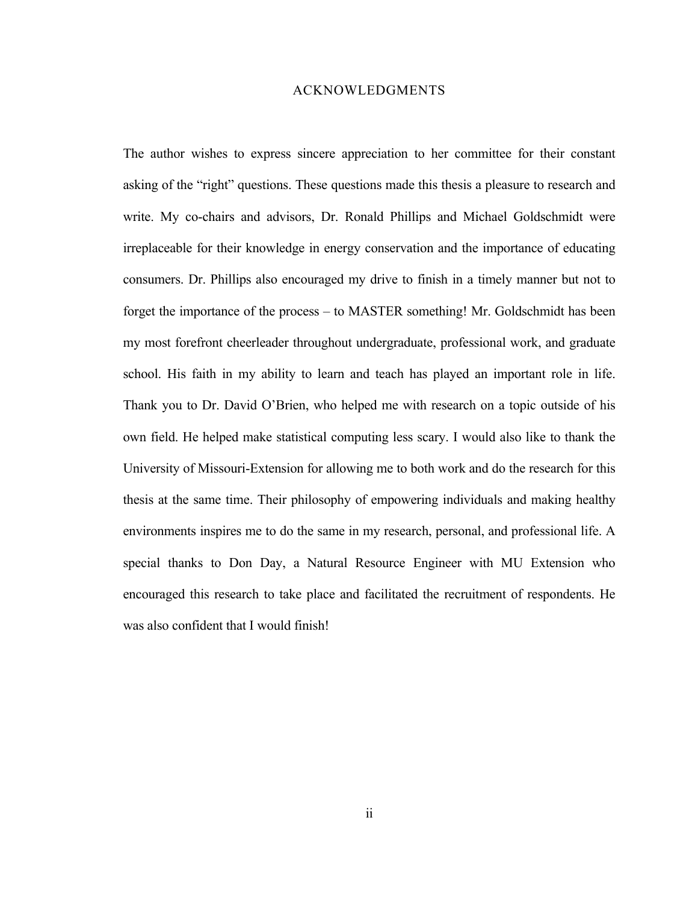#### ACKNOWLEDGMENTS

The author wishes to express sincere appreciation to her committee for their constant asking of the "right" questions. These questions made this thesis a pleasure to research and write. My co-chairs and advisors, Dr. Ronald Phillips and Michael Goldschmidt were irreplaceable for their knowledge in energy conservation and the importance of educating consumers. Dr. Phillips also encouraged my drive to finish in a timely manner but not to forget the importance of the process – to MASTER something! Mr. Goldschmidt has been my most forefront cheerleader throughout undergraduate, professional work, and graduate school. His faith in my ability to learn and teach has played an important role in life. Thank you to Dr. David O'Brien, who helped me with research on a topic outside of his own field. He helped make statistical computing less scary. I would also like to thank the University of Missouri-Extension for allowing me to both work and do the research for this thesis at the same time. Their philosophy of empowering individuals and making healthy environments inspires me to do the same in my research, personal, and professional life. A special thanks to Don Day, a Natural Resource Engineer with MU Extension who encouraged this research to take place and facilitated the recruitment of respondents. He was also confident that I would finish!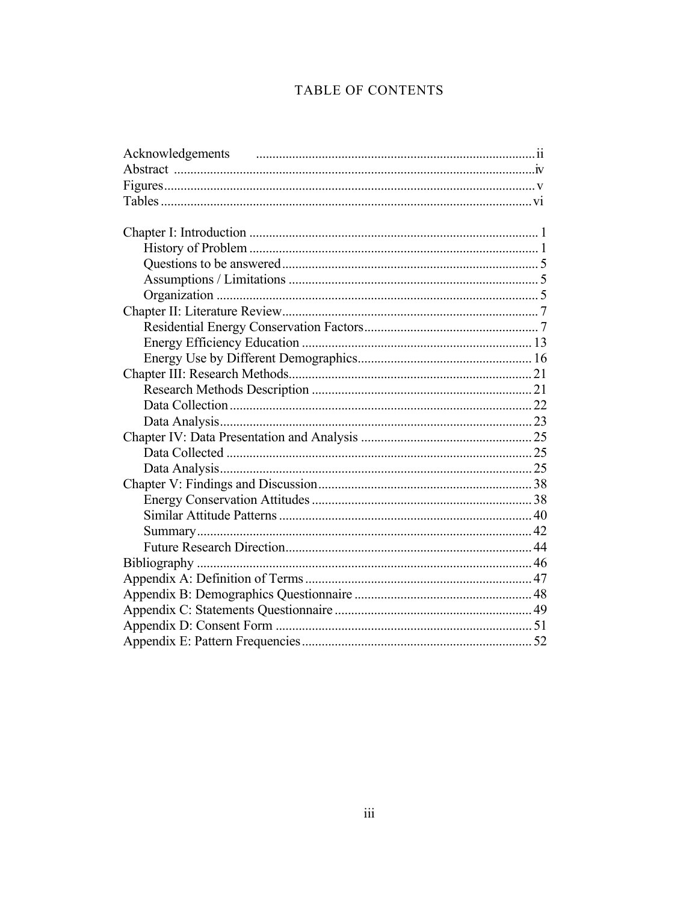# TABLE OF CONTENTS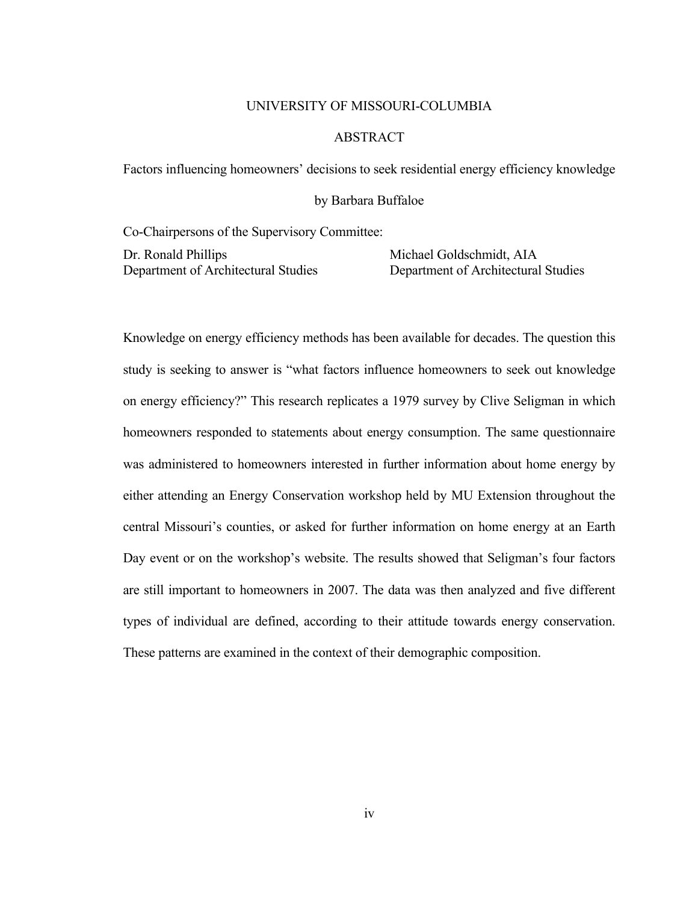#### UNIVERSITY OF MISSOURI-COLUMBIA

### ABSTRACT

Factors influencing homeowners' decisions to seek residential energy efficiency knowledge

#### by Barbara Buffaloe

Co-Chairpersons of the Supervisory Committee:

Dr. Ronald Phillips Department of Architectural Studies Michael Goldschmidt, AIA Department of Architectural Studies

Knowledge on energy efficiency methods has been available for decades. The question this study is seeking to answer is "what factors influence homeowners to seek out knowledge on energy efficiency?" This research replicates a 1979 survey by Clive Seligman in which homeowners responded to statements about energy consumption. The same questionnaire was administered to homeowners interested in further information about home energy by either attending an Energy Conservation workshop held by MU Extension throughout the central Missouri's counties, or asked for further information on home energy at an Earth Day event or on the workshop's website. The results showed that Seligman's four factors are still important to homeowners in 2007. The data was then analyzed and five different types of individual are defined, according to their attitude towards energy conservation. These patterns are examined in the context of their demographic composition.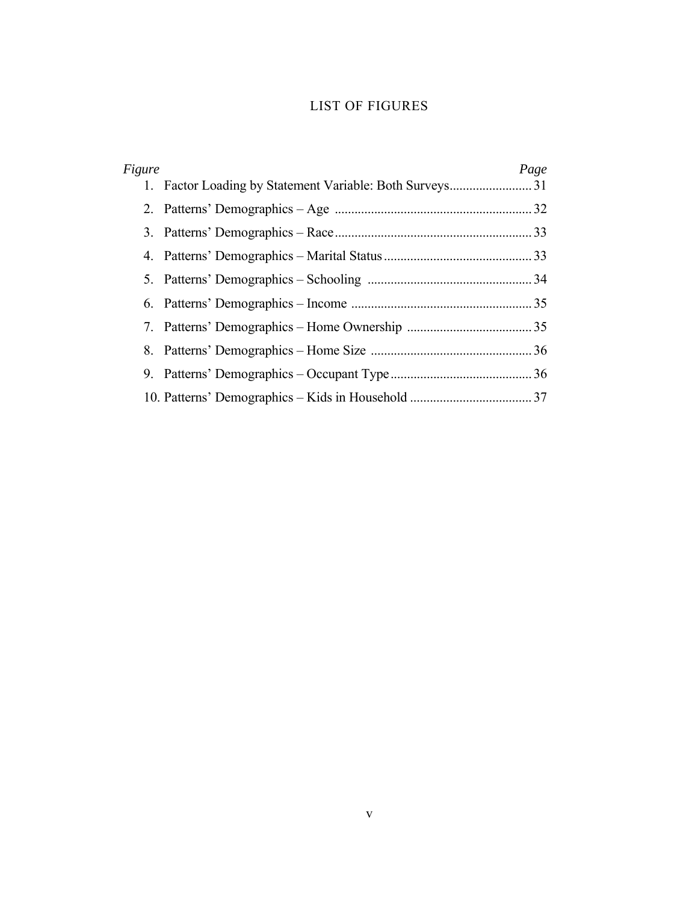# LIST OF FIGURES

| Figure | Page |
|--------|------|
|        |      |
|        |      |
|        |      |
|        |      |
|        |      |
|        |      |
|        |      |
|        |      |
|        |      |
|        |      |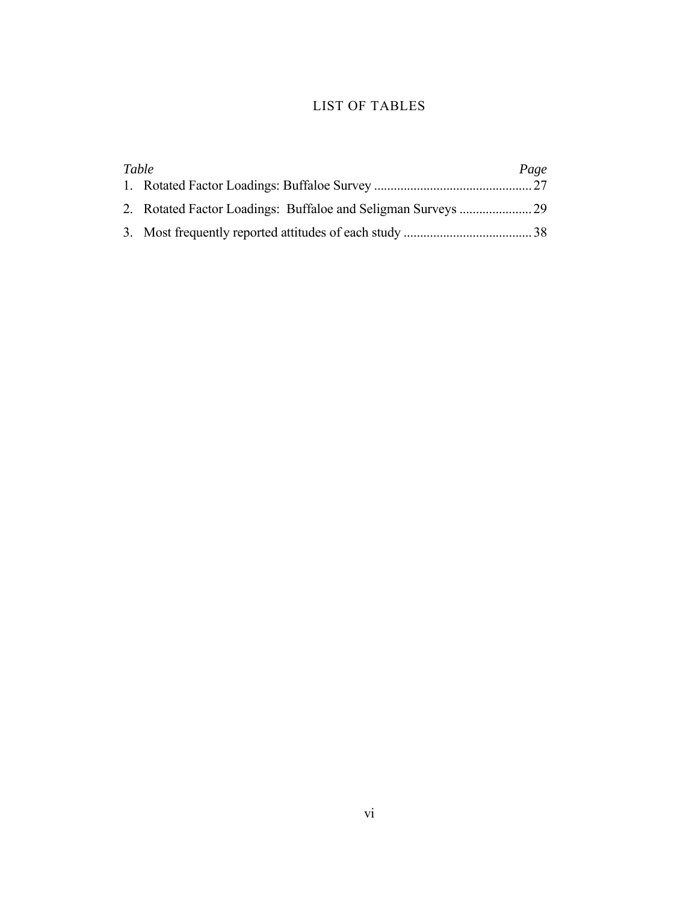# LIST OF TABLES

| Table | Page |
|-------|------|
|       |      |
|       |      |
|       |      |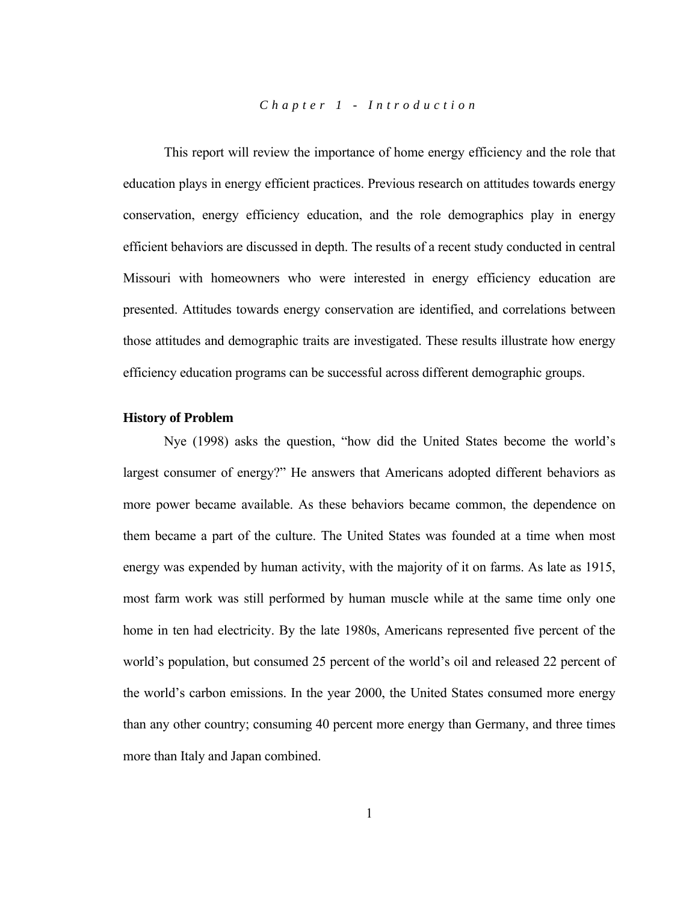#### *Chapter 1 - Introduction*

 This report will review the importance of home energy efficiency and the role that education plays in energy efficient practices. Previous research on attitudes towards energy conservation, energy efficiency education, and the role demographics play in energy efficient behaviors are discussed in depth. The results of a recent study conducted in central Missouri with homeowners who were interested in energy efficiency education are presented. Attitudes towards energy conservation are identified, and correlations between those attitudes and demographic traits are investigated. These results illustrate how energy efficiency education programs can be successful across different demographic groups.

#### **History of Problem**

 Nye (1998) asks the question, "how did the United States become the world's largest consumer of energy?" He answers that Americans adopted different behaviors as more power became available. As these behaviors became common, the dependence on them became a part of the culture. The United States was founded at a time when most energy was expended by human activity, with the majority of it on farms. As late as 1915, most farm work was still performed by human muscle while at the same time only one home in ten had electricity. By the late 1980s, Americans represented five percent of the world's population, but consumed 25 percent of the world's oil and released 22 percent of the world's carbon emissions. In the year 2000, the United States consumed more energy than any other country; consuming 40 percent more energy than Germany, and three times more than Italy and Japan combined.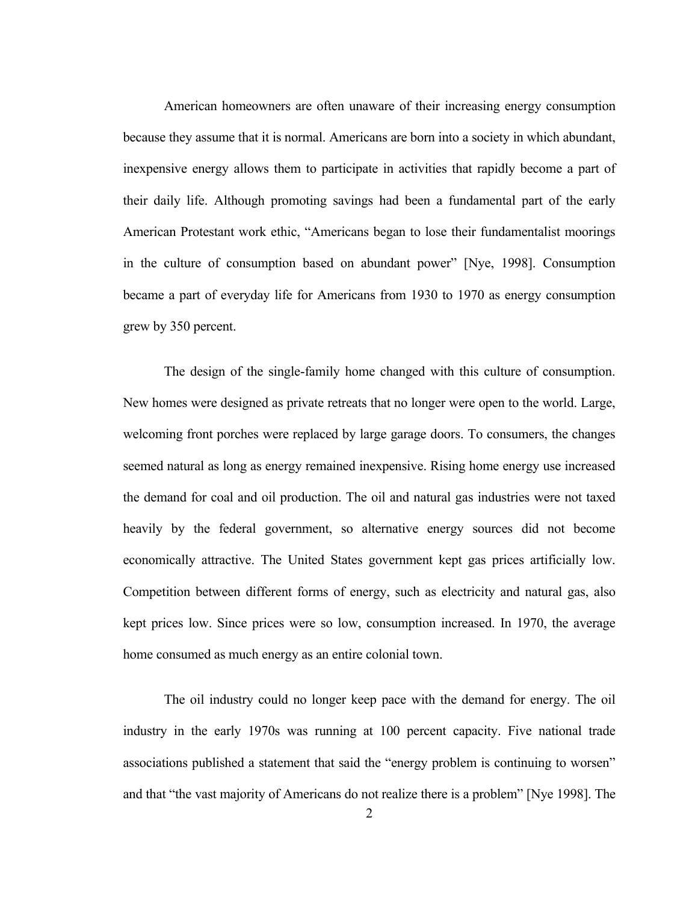American homeowners are often unaware of their increasing energy consumption because they assume that it is normal. Americans are born into a society in which abundant, inexpensive energy allows them to participate in activities that rapidly become a part of their daily life. Although promoting savings had been a fundamental part of the early American Protestant work ethic, "Americans began to lose their fundamentalist moorings in the culture of consumption based on abundant power" [Nye, 1998]. Consumption became a part of everyday life for Americans from 1930 to 1970 as energy consumption grew by 350 percent.

 The design of the single-family home changed with this culture of consumption. New homes were designed as private retreats that no longer were open to the world. Large, welcoming front porches were replaced by large garage doors. To consumers, the changes seemed natural as long as energy remained inexpensive. Rising home energy use increased the demand for coal and oil production. The oil and natural gas industries were not taxed heavily by the federal government, so alternative energy sources did not become economically attractive. The United States government kept gas prices artificially low. Competition between different forms of energy, such as electricity and natural gas, also kept prices low. Since prices were so low, consumption increased. In 1970, the average home consumed as much energy as an entire colonial town.

 The oil industry could no longer keep pace with the demand for energy. The oil industry in the early 1970s was running at 100 percent capacity. Five national trade associations published a statement that said the "energy problem is continuing to worsen" and that "the vast majority of Americans do not realize there is a problem" [Nye 1998]. The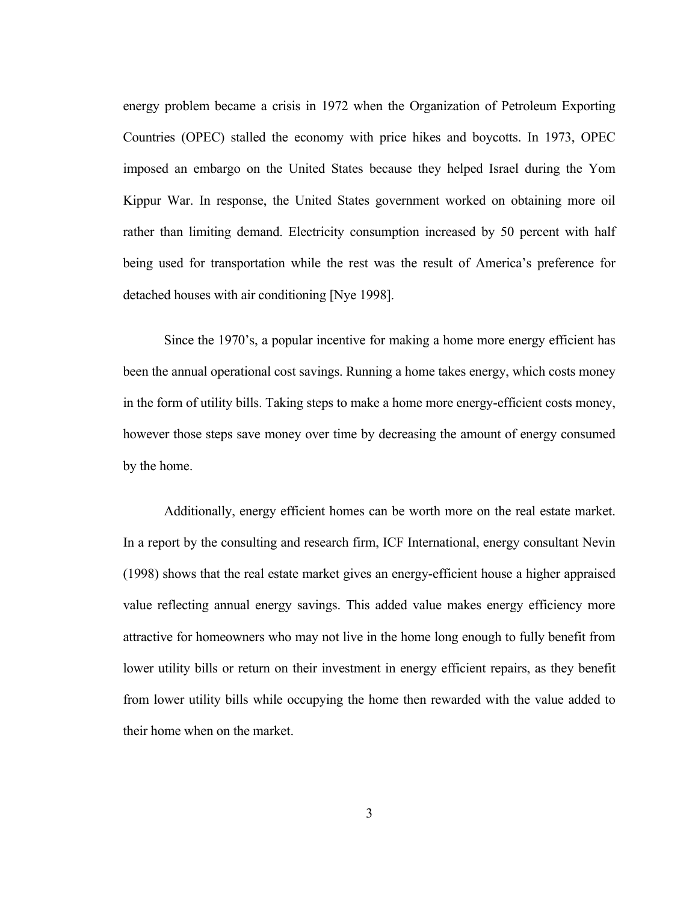energy problem became a crisis in 1972 when the Organization of Petroleum Exporting Countries (OPEC) stalled the economy with price hikes and boycotts. In 1973, OPEC imposed an embargo on the United States because they helped Israel during the Yom Kippur War. In response, the United States government worked on obtaining more oil rather than limiting demand. Electricity consumption increased by 50 percent with half being used for transportation while the rest was the result of America's preference for detached houses with air conditioning [Nye 1998].

 Since the 1970's, a popular incentive for making a home more energy efficient has been the annual operational cost savings. Running a home takes energy, which costs money in the form of utility bills. Taking steps to make a home more energy-efficient costs money, however those steps save money over time by decreasing the amount of energy consumed by the home.

 Additionally, energy efficient homes can be worth more on the real estate market. In a report by the consulting and research firm, ICF International, energy consultant Nevin (1998) shows that the real estate market gives an energy-efficient house a higher appraised value reflecting annual energy savings. This added value makes energy efficiency more attractive for homeowners who may not live in the home long enough to fully benefit from lower utility bills or return on their investment in energy efficient repairs, as they benefit from lower utility bills while occupying the home then rewarded with the value added to their home when on the market.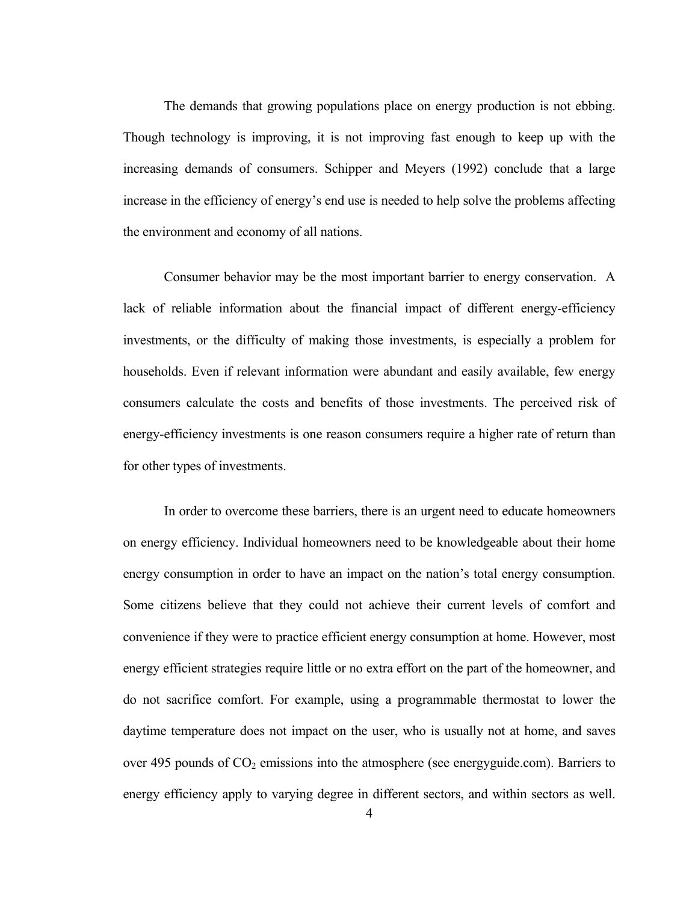The demands that growing populations place on energy production is not ebbing. Though technology is improving, it is not improving fast enough to keep up with the increasing demands of consumers. Schipper and Meyers (1992) conclude that a large increase in the efficiency of energy's end use is needed to help solve the problems affecting the environment and economy of all nations.

 Consumer behavior may be the most important barrier to energy conservation. A lack of reliable information about the financial impact of different energy-efficiency investments, or the difficulty of making those investments, is especially a problem for households. Even if relevant information were abundant and easily available, few energy consumers calculate the costs and benefits of those investments. The perceived risk of energy-efficiency investments is one reason consumers require a higher rate of return than for other types of investments.

 In order to overcome these barriers, there is an urgent need to educate homeowners on energy efficiency. Individual homeowners need to be knowledgeable about their home energy consumption in order to have an impact on the nation's total energy consumption. Some citizens believe that they could not achieve their current levels of comfort and convenience if they were to practice efficient energy consumption at home. However, most energy efficient strategies require little or no extra effort on the part of the homeowner, and do not sacrifice comfort. For example, using a programmable thermostat to lower the daytime temperature does not impact on the user, who is usually not at home, and saves over 495 pounds of  $CO<sub>2</sub>$  emissions into the atmosphere (see energyguide.com). Barriers to energy efficiency apply to varying degree in different sectors, and within sectors as well.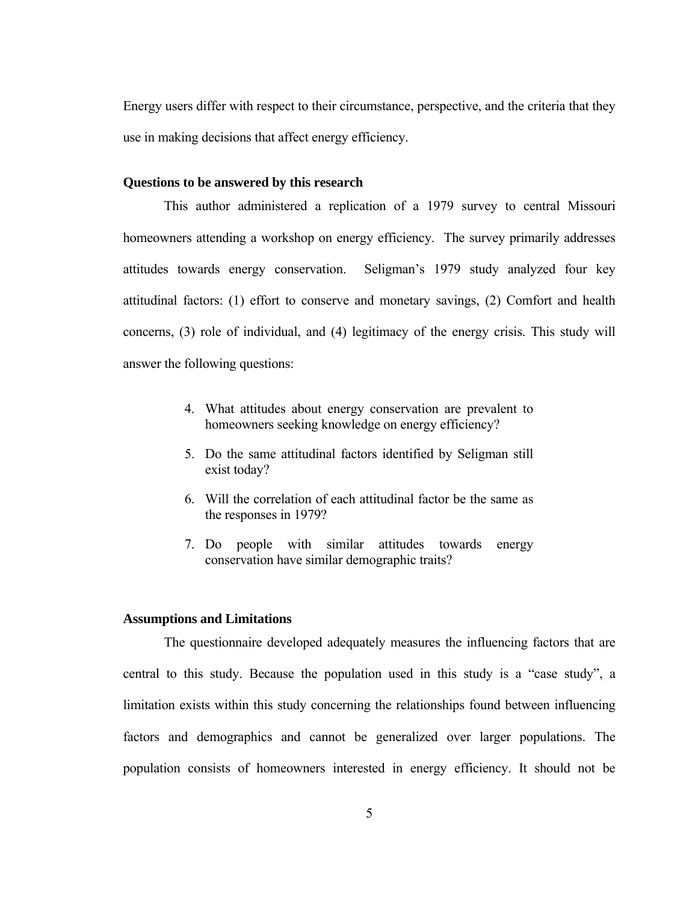Energy users differ with respect to their circumstance, perspective, and the criteria that they use in making decisions that affect energy efficiency.

#### **Questions to be answered by this research**

 This author administered a replication of a 1979 survey to central Missouri homeowners attending a workshop on energy efficiency. The survey primarily addresses attitudes towards energy conservation. Seligman's 1979 study analyzed four key attitudinal factors: (1) effort to conserve and monetary savings, (2) Comfort and health concerns, (3) role of individual, and (4) legitimacy of the energy crisis. This study will answer the following questions:

- 4. What attitudes about energy conservation are prevalent to homeowners seeking knowledge on energy efficiency?
- 5. Do the same attitudinal factors identified by Seligman still exist today?
- 6. Will the correlation of each attitudinal factor be the same as the responses in 1979?
- 7. Do people with similar attitudes towards energy conservation have similar demographic traits?

#### **Assumptions and Limitations**

 The questionnaire developed adequately measures the influencing factors that are central to this study. Because the population used in this study is a "case study", a limitation exists within this study concerning the relationships found between influencing factors and demographics and cannot be generalized over larger populations. The population consists of homeowners interested in energy efficiency. It should not be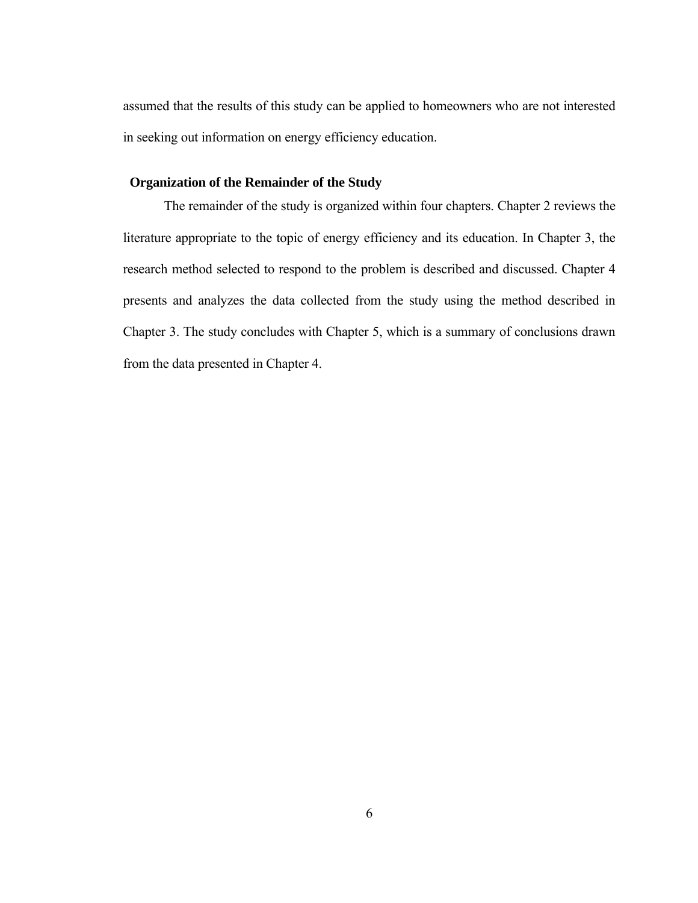assumed that the results of this study can be applied to homeowners who are not interested in seeking out information on energy efficiency education.

## **Organization of the Remainder of the Study**

 The remainder of the study is organized within four chapters. Chapter 2 reviews the literature appropriate to the topic of energy efficiency and its education. In Chapter 3, the research method selected to respond to the problem is described and discussed. Chapter 4 presents and analyzes the data collected from the study using the method described in Chapter 3. The study concludes with Chapter 5, which is a summary of conclusions drawn from the data presented in Chapter 4.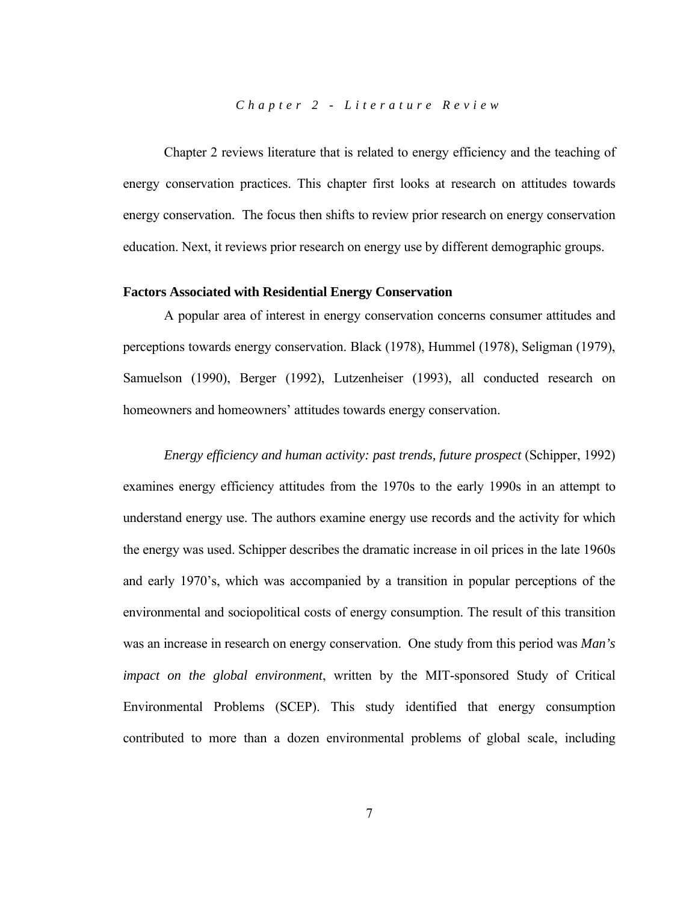*Chapter 2 - Literature Review* 

 Chapter 2 reviews literature that is related to energy efficiency and the teaching of energy conservation practices. This chapter first looks at research on attitudes towards energy conservation. The focus then shifts to review prior research on energy conservation education. Next, it reviews prior research on energy use by different demographic groups.

#### **Factors Associated with Residential Energy Conservation**

 A popular area of interest in energy conservation concerns consumer attitudes and perceptions towards energy conservation. Black (1978), Hummel (1978), Seligman (1979), Samuelson (1990), Berger (1992), Lutzenheiser (1993), all conducted research on homeowners and homeowners' attitudes towards energy conservation.

*Energy efficiency and human activity: past trends, future prospect* (Schipper, 1992) examines energy efficiency attitudes from the 1970s to the early 1990s in an attempt to understand energy use. The authors examine energy use records and the activity for which the energy was used. Schipper describes the dramatic increase in oil prices in the late 1960s and early 1970's, which was accompanied by a transition in popular perceptions of the environmental and sociopolitical costs of energy consumption. The result of this transition was an increase in research on energy conservation. One study from this period was *Man's impact on the global environment*, written by the MIT-sponsored Study of Critical Environmental Problems (SCEP). This study identified that energy consumption contributed to more than a dozen environmental problems of global scale, including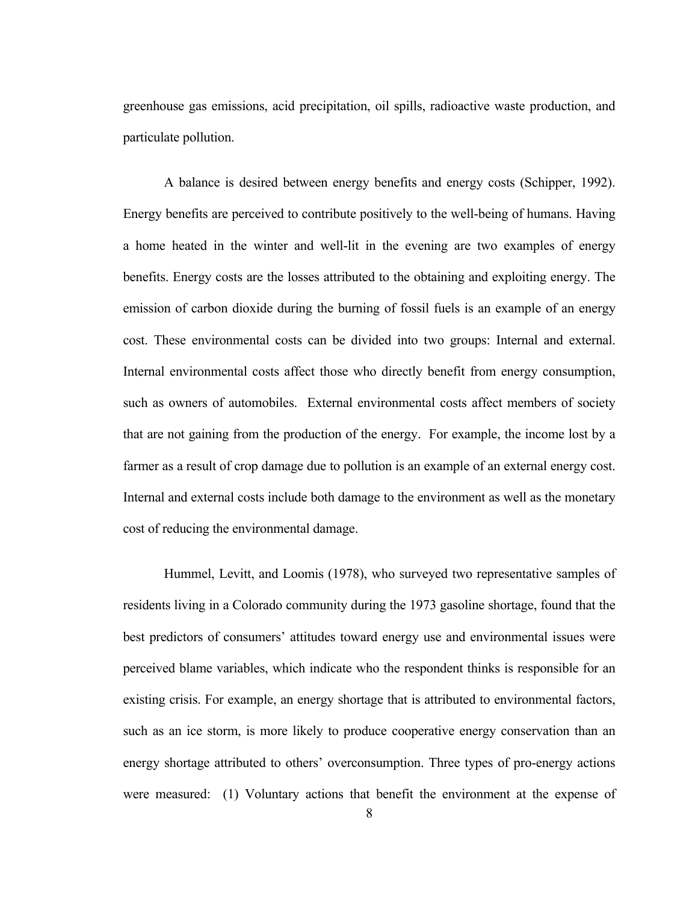greenhouse gas emissions, acid precipitation, oil spills, radioactive waste production, and particulate pollution.

 A balance is desired between energy benefits and energy costs (Schipper, 1992). Energy benefits are perceived to contribute positively to the well-being of humans. Having a home heated in the winter and well-lit in the evening are two examples of energy benefits. Energy costs are the losses attributed to the obtaining and exploiting energy. The emission of carbon dioxide during the burning of fossil fuels is an example of an energy cost. These environmental costs can be divided into two groups: Internal and external. Internal environmental costs affect those who directly benefit from energy consumption, such as owners of automobiles. External environmental costs affect members of society that are not gaining from the production of the energy. For example, the income lost by a farmer as a result of crop damage due to pollution is an example of an external energy cost. Internal and external costs include both damage to the environment as well as the monetary cost of reducing the environmental damage.

 Hummel, Levitt, and Loomis (1978), who surveyed two representative samples of residents living in a Colorado community during the 1973 gasoline shortage, found that the best predictors of consumers' attitudes toward energy use and environmental issues were perceived blame variables, which indicate who the respondent thinks is responsible for an existing crisis. For example, an energy shortage that is attributed to environmental factors, such as an ice storm, is more likely to produce cooperative energy conservation than an energy shortage attributed to others' overconsumption. Three types of pro-energy actions were measured: (1) Voluntary actions that benefit the environment at the expense of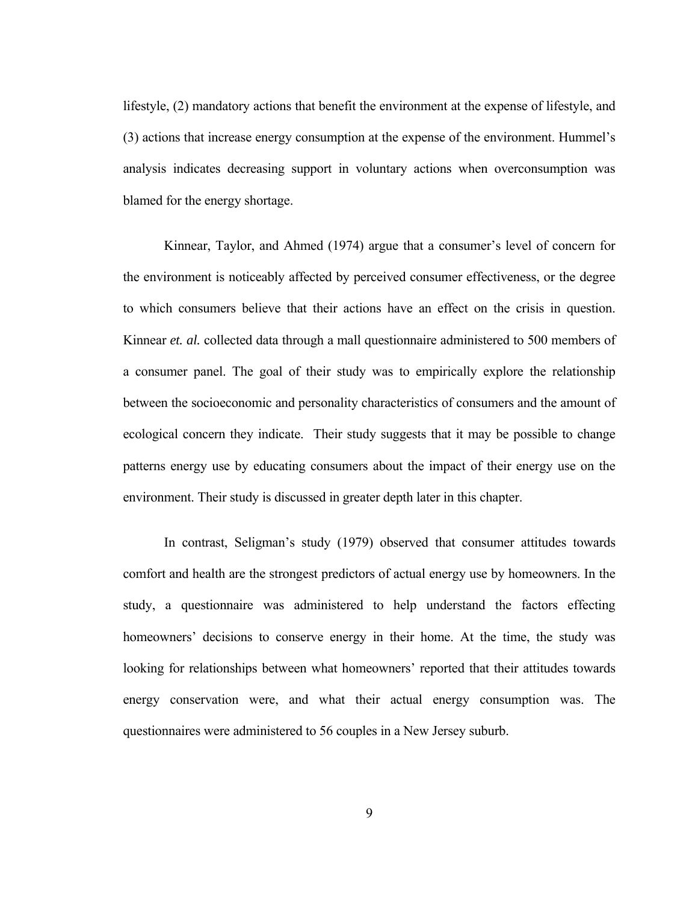lifestyle, (2) mandatory actions that benefit the environment at the expense of lifestyle, and (3) actions that increase energy consumption at the expense of the environment. Hummel's analysis indicates decreasing support in voluntary actions when overconsumption was blamed for the energy shortage.

 Kinnear, Taylor, and Ahmed (1974) argue that a consumer's level of concern for the environment is noticeably affected by perceived consumer effectiveness, or the degree to which consumers believe that their actions have an effect on the crisis in question. Kinnear *et. al.* collected data through a mall questionnaire administered to 500 members of a consumer panel. The goal of their study was to empirically explore the relationship between the socioeconomic and personality characteristics of consumers and the amount of ecological concern they indicate. Their study suggests that it may be possible to change patterns energy use by educating consumers about the impact of their energy use on the environment. Their study is discussed in greater depth later in this chapter.

 In contrast, Seligman's study (1979) observed that consumer attitudes towards comfort and health are the strongest predictors of actual energy use by homeowners. In the study, a questionnaire was administered to help understand the factors effecting homeowners' decisions to conserve energy in their home. At the time, the study was looking for relationships between what homeowners' reported that their attitudes towards energy conservation were, and what their actual energy consumption was. The questionnaires were administered to 56 couples in a New Jersey suburb.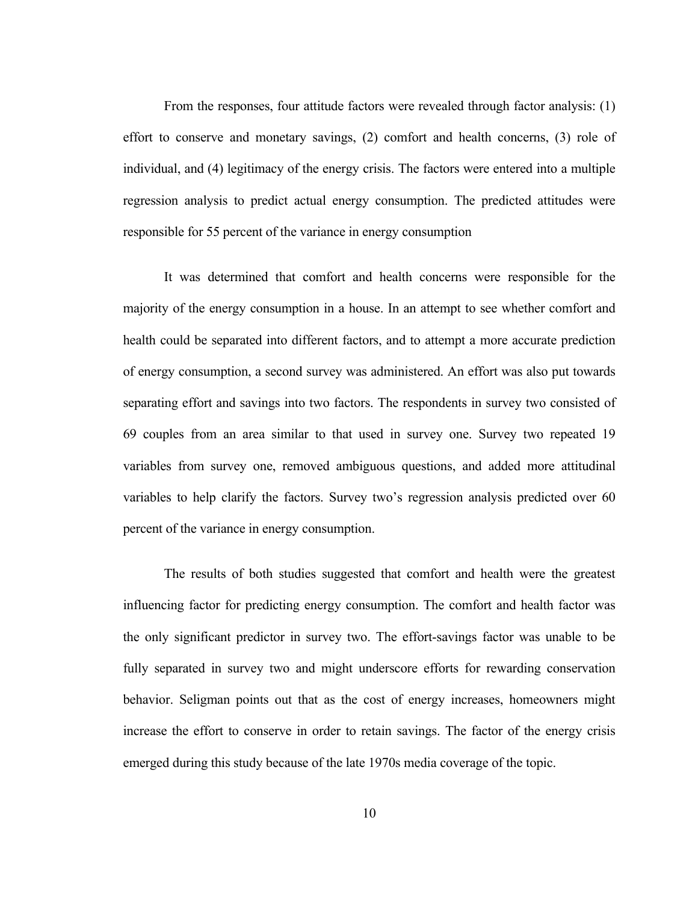From the responses, four attitude factors were revealed through factor analysis: (1) effort to conserve and monetary savings, (2) comfort and health concerns, (3) role of individual, and (4) legitimacy of the energy crisis. The factors were entered into a multiple regression analysis to predict actual energy consumption. The predicted attitudes were responsible for 55 percent of the variance in energy consumption

 It was determined that comfort and health concerns were responsible for the majority of the energy consumption in a house. In an attempt to see whether comfort and health could be separated into different factors, and to attempt a more accurate prediction of energy consumption, a second survey was administered. An effort was also put towards separating effort and savings into two factors. The respondents in survey two consisted of 69 couples from an area similar to that used in survey one. Survey two repeated 19 variables from survey one, removed ambiguous questions, and added more attitudinal variables to help clarify the factors. Survey two's regression analysis predicted over 60 percent of the variance in energy consumption.

 The results of both studies suggested that comfort and health were the greatest influencing factor for predicting energy consumption. The comfort and health factor was the only significant predictor in survey two. The effort-savings factor was unable to be fully separated in survey two and might underscore efforts for rewarding conservation behavior. Seligman points out that as the cost of energy increases, homeowners might increase the effort to conserve in order to retain savings. The factor of the energy crisis emerged during this study because of the late 1970s media coverage of the topic.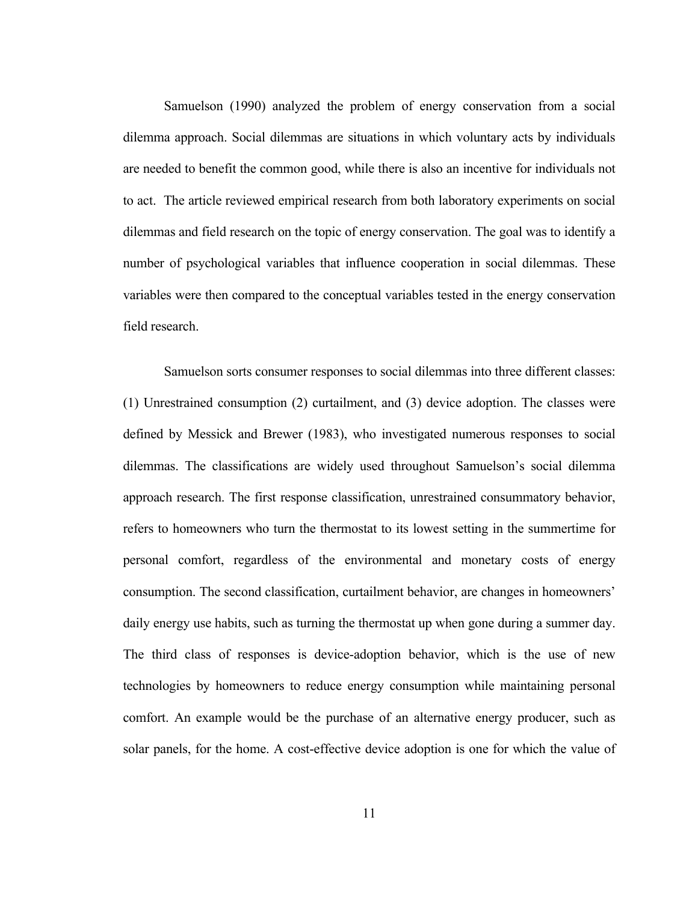Samuelson (1990) analyzed the problem of energy conservation from a social dilemma approach. Social dilemmas are situations in which voluntary acts by individuals are needed to benefit the common good, while there is also an incentive for individuals not to act. The article reviewed empirical research from both laboratory experiments on social dilemmas and field research on the topic of energy conservation. The goal was to identify a number of psychological variables that influence cooperation in social dilemmas. These variables were then compared to the conceptual variables tested in the energy conservation field research.

 Samuelson sorts consumer responses to social dilemmas into three different classes: (1) Unrestrained consumption (2) curtailment, and (3) device adoption. The classes were defined by Messick and Brewer (1983), who investigated numerous responses to social dilemmas. The classifications are widely used throughout Samuelson's social dilemma approach research. The first response classification, unrestrained consummatory behavior, refers to homeowners who turn the thermostat to its lowest setting in the summertime for personal comfort, regardless of the environmental and monetary costs of energy consumption. The second classification, curtailment behavior, are changes in homeowners' daily energy use habits, such as turning the thermostat up when gone during a summer day. The third class of responses is device-adoption behavior, which is the use of new technologies by homeowners to reduce energy consumption while maintaining personal comfort. An example would be the purchase of an alternative energy producer, such as solar panels, for the home. A cost-effective device adoption is one for which the value of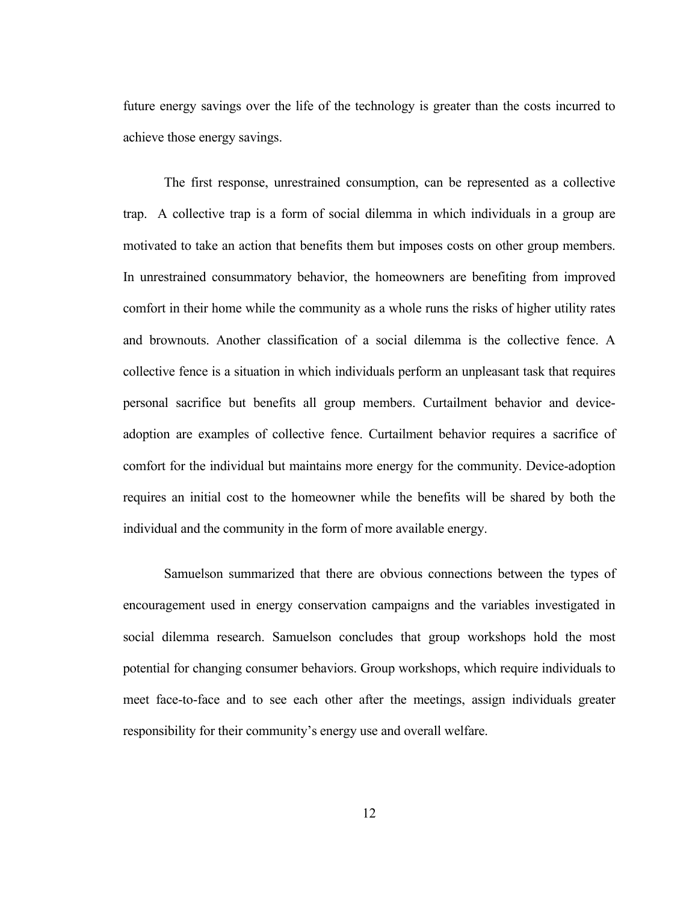future energy savings over the life of the technology is greater than the costs incurred to achieve those energy savings.

 The first response, unrestrained consumption, can be represented as a collective trap. A collective trap is a form of social dilemma in which individuals in a group are motivated to take an action that benefits them but imposes costs on other group members. In unrestrained consummatory behavior, the homeowners are benefiting from improved comfort in their home while the community as a whole runs the risks of higher utility rates and brownouts. Another classification of a social dilemma is the collective fence. A collective fence is a situation in which individuals perform an unpleasant task that requires personal sacrifice but benefits all group members. Curtailment behavior and deviceadoption are examples of collective fence. Curtailment behavior requires a sacrifice of comfort for the individual but maintains more energy for the community. Device-adoption requires an initial cost to the homeowner while the benefits will be shared by both the individual and the community in the form of more available energy.

 Samuelson summarized that there are obvious connections between the types of encouragement used in energy conservation campaigns and the variables investigated in social dilemma research. Samuelson concludes that group workshops hold the most potential for changing consumer behaviors. Group workshops, which require individuals to meet face-to-face and to see each other after the meetings, assign individuals greater responsibility for their community's energy use and overall welfare.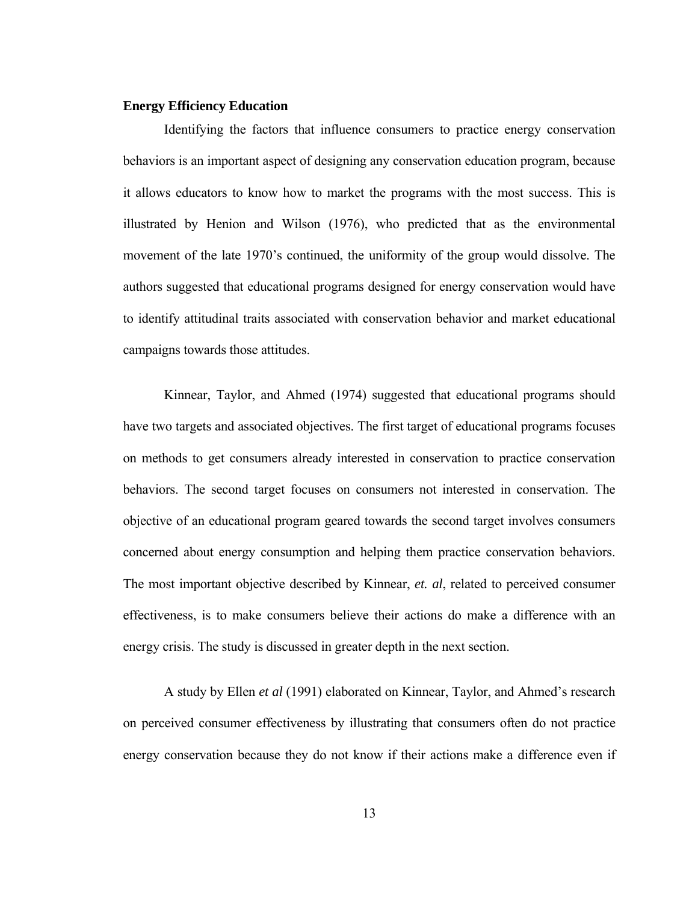### **Energy Efficiency Education**

 Identifying the factors that influence consumers to practice energy conservation behaviors is an important aspect of designing any conservation education program, because it allows educators to know how to market the programs with the most success. This is illustrated by Henion and Wilson (1976), who predicted that as the environmental movement of the late 1970's continued, the uniformity of the group would dissolve. The authors suggested that educational programs designed for energy conservation would have to identify attitudinal traits associated with conservation behavior and market educational campaigns towards those attitudes.

 Kinnear, Taylor, and Ahmed (1974) suggested that educational programs should have two targets and associated objectives. The first target of educational programs focuses on methods to get consumers already interested in conservation to practice conservation behaviors. The second target focuses on consumers not interested in conservation. The objective of an educational program geared towards the second target involves consumers concerned about energy consumption and helping them practice conservation behaviors. The most important objective described by Kinnear, *et. al*, related to perceived consumer effectiveness, is to make consumers believe their actions do make a difference with an energy crisis. The study is discussed in greater depth in the next section.

 A study by Ellen *et al* (1991) elaborated on Kinnear, Taylor, and Ahmed's research on perceived consumer effectiveness by illustrating that consumers often do not practice energy conservation because they do not know if their actions make a difference even if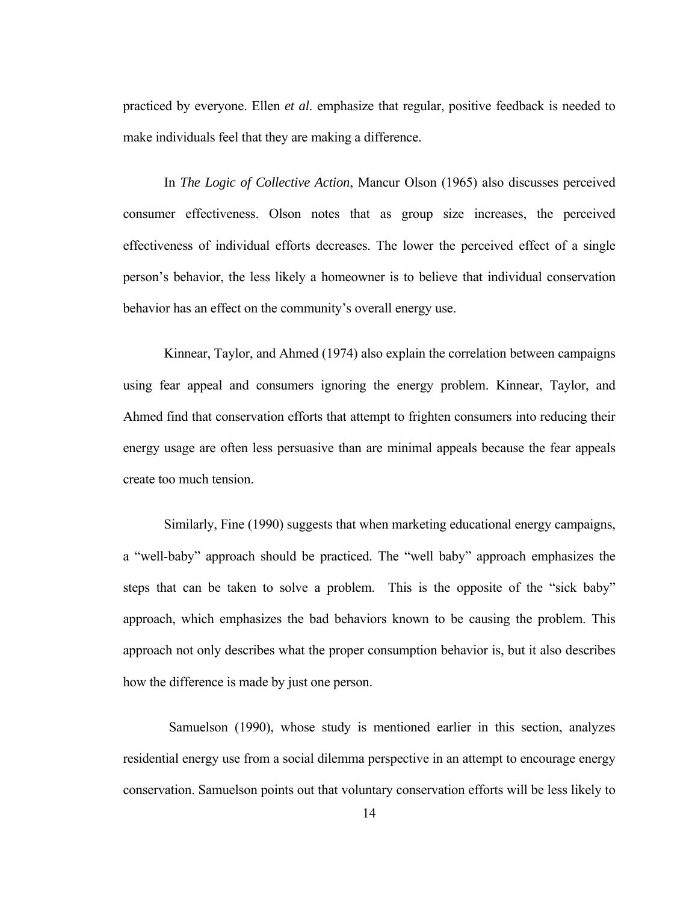practiced by everyone. Ellen *et al*. emphasize that regular, positive feedback is needed to make individuals feel that they are making a difference.

 In *The Logic of Collective Action*, Mancur Olson (1965) also discusses perceived consumer effectiveness. Olson notes that as group size increases, the perceived effectiveness of individual efforts decreases. The lower the perceived effect of a single person's behavior, the less likely a homeowner is to believe that individual conservation behavior has an effect on the community's overall energy use.

 Kinnear, Taylor, and Ahmed (1974) also explain the correlation between campaigns using fear appeal and consumers ignoring the energy problem. Kinnear, Taylor, and Ahmed find that conservation efforts that attempt to frighten consumers into reducing their energy usage are often less persuasive than are minimal appeals because the fear appeals create too much tension.

 Similarly, Fine (1990) suggests that when marketing educational energy campaigns, a "well-baby" approach should be practiced. The "well baby" approach emphasizes the steps that can be taken to solve a problem. This is the opposite of the "sick baby" approach, which emphasizes the bad behaviors known to be causing the problem. This approach not only describes what the proper consumption behavior is, but it also describes how the difference is made by just one person.

 Samuelson (1990), whose study is mentioned earlier in this section, analyzes residential energy use from a social dilemma perspective in an attempt to encourage energy conservation. Samuelson points out that voluntary conservation efforts will be less likely to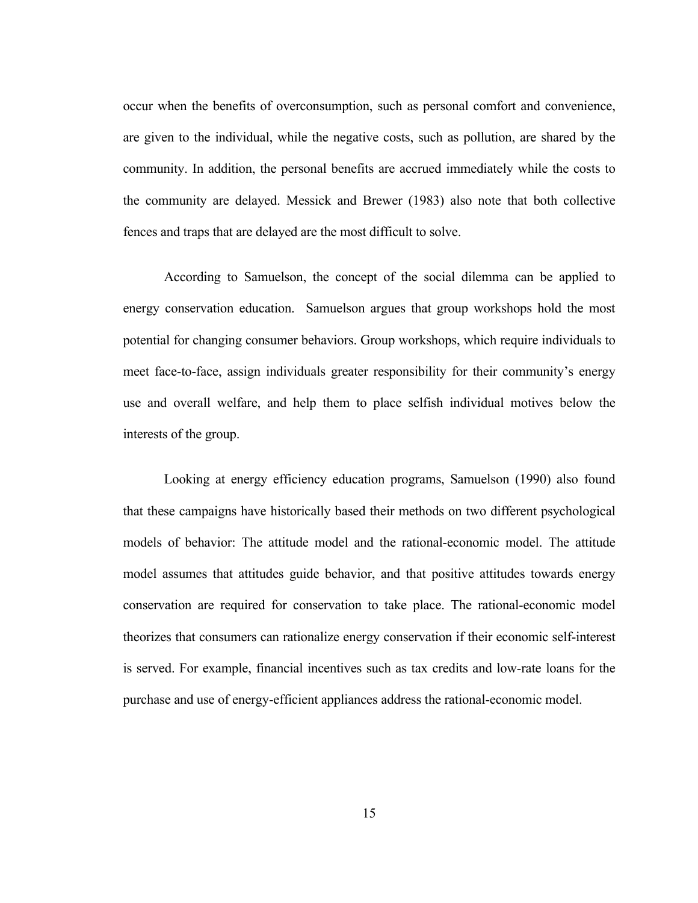occur when the benefits of overconsumption, such as personal comfort and convenience, are given to the individual, while the negative costs, such as pollution, are shared by the community. In addition, the personal benefits are accrued immediately while the costs to the community are delayed. Messick and Brewer (1983) also note that both collective fences and traps that are delayed are the most difficult to solve.

 According to Samuelson, the concept of the social dilemma can be applied to energy conservation education. Samuelson argues that group workshops hold the most potential for changing consumer behaviors. Group workshops, which require individuals to meet face-to-face, assign individuals greater responsibility for their community's energy use and overall welfare, and help them to place selfish individual motives below the interests of the group.

 Looking at energy efficiency education programs, Samuelson (1990) also found that these campaigns have historically based their methods on two different psychological models of behavior: The attitude model and the rational-economic model. The attitude model assumes that attitudes guide behavior, and that positive attitudes towards energy conservation are required for conservation to take place. The rational-economic model theorizes that consumers can rationalize energy conservation if their economic self-interest is served. For example, financial incentives such as tax credits and low-rate loans for the purchase and use of energy-efficient appliances address the rational-economic model.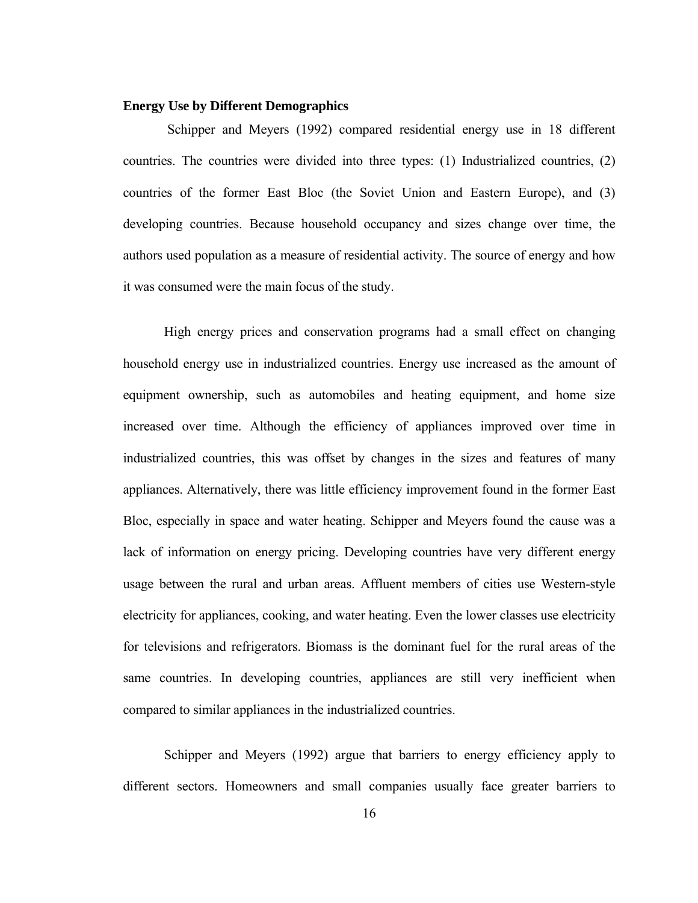### **Energy Use by Different Demographics**

 Schipper and Meyers (1992) compared residential energy use in 18 different countries. The countries were divided into three types: (1) Industrialized countries, (2) countries of the former East Bloc (the Soviet Union and Eastern Europe), and (3) developing countries. Because household occupancy and sizes change over time, the authors used population as a measure of residential activity. The source of energy and how it was consumed were the main focus of the study.

 High energy prices and conservation programs had a small effect on changing household energy use in industrialized countries. Energy use increased as the amount of equipment ownership, such as automobiles and heating equipment, and home size increased over time. Although the efficiency of appliances improved over time in industrialized countries, this was offset by changes in the sizes and features of many appliances. Alternatively, there was little efficiency improvement found in the former East Bloc, especially in space and water heating. Schipper and Meyers found the cause was a lack of information on energy pricing. Developing countries have very different energy usage between the rural and urban areas. Affluent members of cities use Western-style electricity for appliances, cooking, and water heating. Even the lower classes use electricity for televisions and refrigerators. Biomass is the dominant fuel for the rural areas of the same countries. In developing countries, appliances are still very inefficient when compared to similar appliances in the industrialized countries.

 Schipper and Meyers (1992) argue that barriers to energy efficiency apply to different sectors. Homeowners and small companies usually face greater barriers to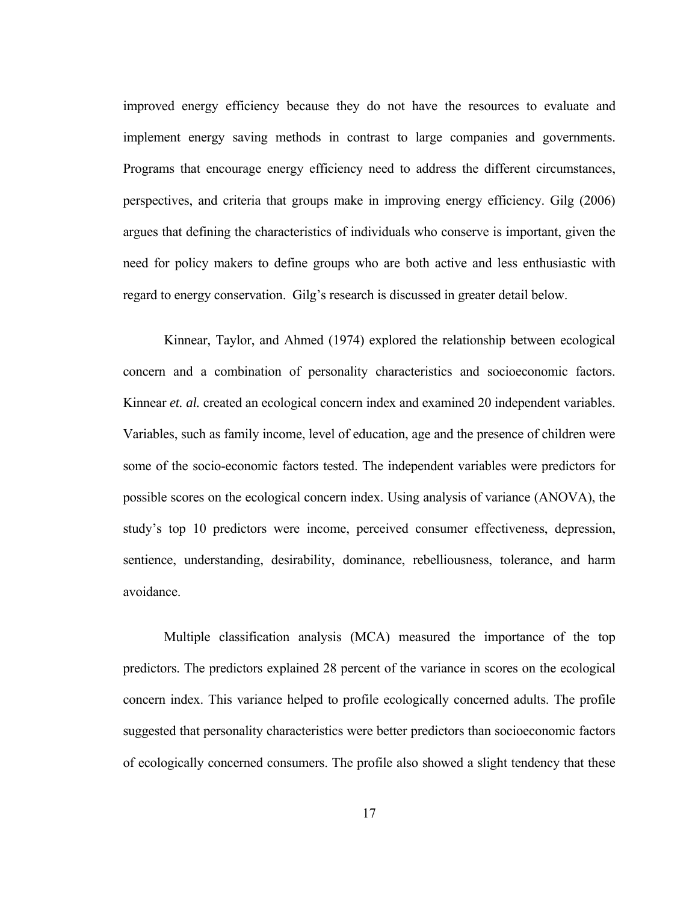improved energy efficiency because they do not have the resources to evaluate and implement energy saving methods in contrast to large companies and governments. Programs that encourage energy efficiency need to address the different circumstances, perspectives, and criteria that groups make in improving energy efficiency. Gilg (2006) argues that defining the characteristics of individuals who conserve is important, given the need for policy makers to define groups who are both active and less enthusiastic with regard to energy conservation. Gilg's research is discussed in greater detail below.

 Kinnear, Taylor, and Ahmed (1974) explored the relationship between ecological concern and a combination of personality characteristics and socioeconomic factors. Kinnear *et. al.* created an ecological concern index and examined 20 independent variables. Variables, such as family income, level of education, age and the presence of children were some of the socio-economic factors tested. The independent variables were predictors for possible scores on the ecological concern index. Using analysis of variance (ANOVA), the study's top 10 predictors were income, perceived consumer effectiveness, depression, sentience, understanding, desirability, dominance, rebelliousness, tolerance, and harm avoidance.

 Multiple classification analysis (MCA) measured the importance of the top predictors. The predictors explained 28 percent of the variance in scores on the ecological concern index. This variance helped to profile ecologically concerned adults. The profile suggested that personality characteristics were better predictors than socioeconomic factors of ecologically concerned consumers. The profile also showed a slight tendency that these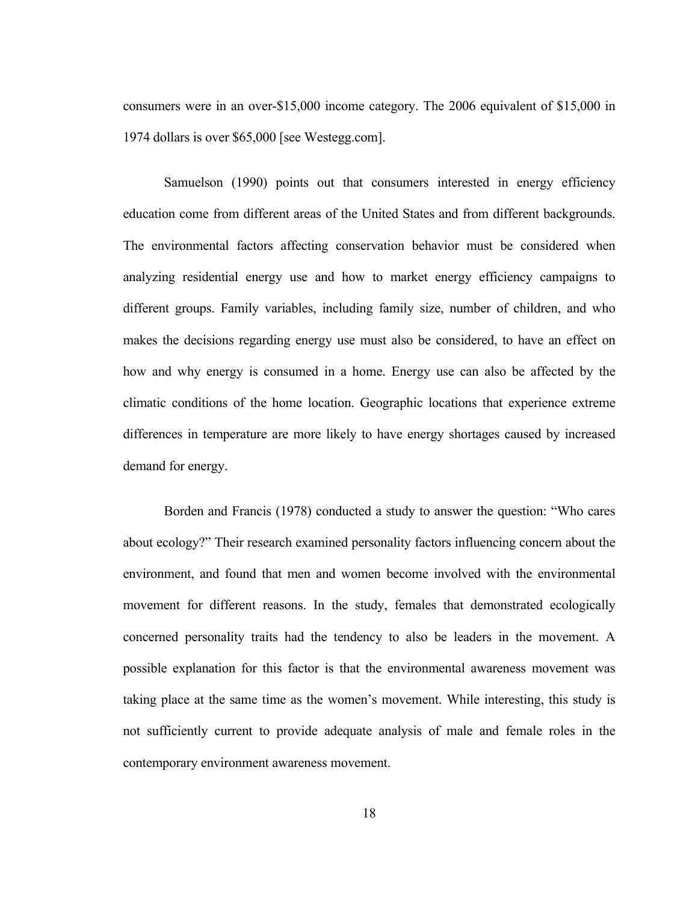consumers were in an over-\$15,000 income category. The 2006 equivalent of \$15,000 in 1974 dollars is over \$65,000 [see Westegg.com].

 Samuelson (1990) points out that consumers interested in energy efficiency education come from different areas of the United States and from different backgrounds. The environmental factors affecting conservation behavior must be considered when analyzing residential energy use and how to market energy efficiency campaigns to different groups. Family variables, including family size, number of children, and who makes the decisions regarding energy use must also be considered, to have an effect on how and why energy is consumed in a home. Energy use can also be affected by the climatic conditions of the home location. Geographic locations that experience extreme differences in temperature are more likely to have energy shortages caused by increased demand for energy.

 Borden and Francis (1978) conducted a study to answer the question: "Who cares about ecology?" Their research examined personality factors influencing concern about the environment, and found that men and women become involved with the environmental movement for different reasons. In the study, females that demonstrated ecologically concerned personality traits had the tendency to also be leaders in the movement. A possible explanation for this factor is that the environmental awareness movement was taking place at the same time as the women's movement. While interesting, this study is not sufficiently current to provide adequate analysis of male and female roles in the contemporary environment awareness movement.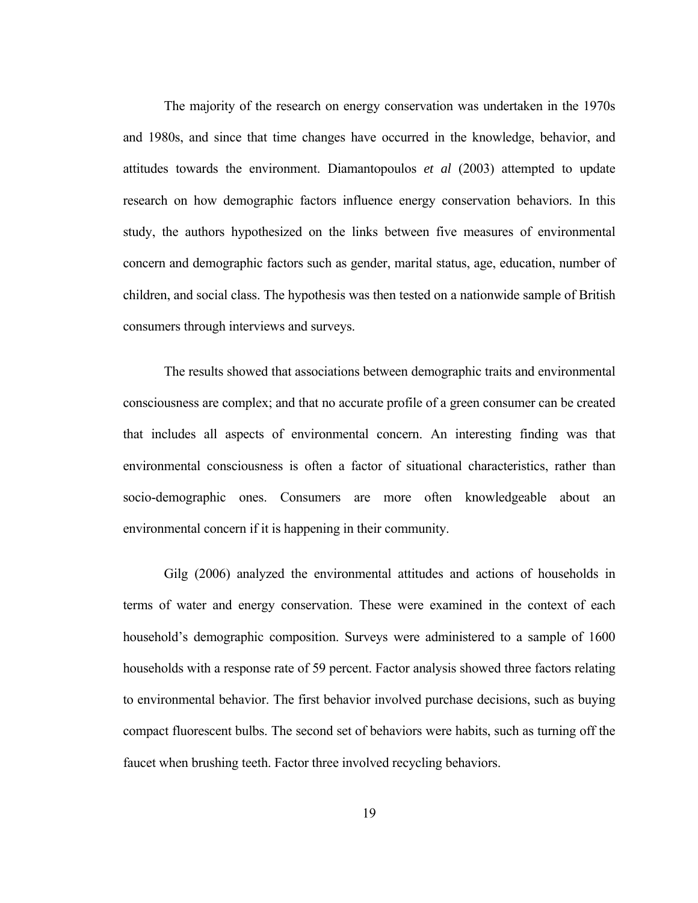The majority of the research on energy conservation was undertaken in the 1970s and 1980s, and since that time changes have occurred in the knowledge, behavior, and attitudes towards the environment. Diamantopoulos *et al* (2003) attempted to update research on how demographic factors influence energy conservation behaviors. In this study, the authors hypothesized on the links between five measures of environmental concern and demographic factors such as gender, marital status, age, education, number of children, and social class. The hypothesis was then tested on a nationwide sample of British consumers through interviews and surveys.

 The results showed that associations between demographic traits and environmental consciousness are complex; and that no accurate profile of a green consumer can be created that includes all aspects of environmental concern. An interesting finding was that environmental consciousness is often a factor of situational characteristics, rather than socio-demographic ones. Consumers are more often knowledgeable about an environmental concern if it is happening in their community.

 Gilg (2006) analyzed the environmental attitudes and actions of households in terms of water and energy conservation. These were examined in the context of each household's demographic composition. Surveys were administered to a sample of 1600 households with a response rate of 59 percent. Factor analysis showed three factors relating to environmental behavior. The first behavior involved purchase decisions, such as buying compact fluorescent bulbs. The second set of behaviors were habits, such as turning off the faucet when brushing teeth. Factor three involved recycling behaviors.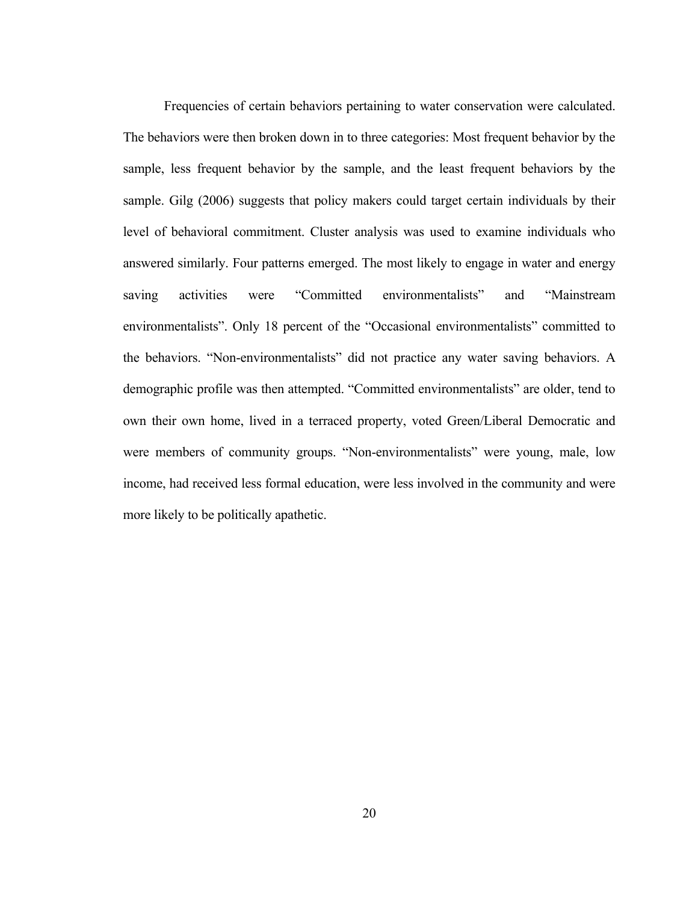Frequencies of certain behaviors pertaining to water conservation were calculated. The behaviors were then broken down in to three categories: Most frequent behavior by the sample, less frequent behavior by the sample, and the least frequent behaviors by the sample. Gilg (2006) suggests that policy makers could target certain individuals by their level of behavioral commitment. Cluster analysis was used to examine individuals who answered similarly. Four patterns emerged. The most likely to engage in water and energy saving activities were "Committed environmentalists" and "Mainstream environmentalists". Only 18 percent of the "Occasional environmentalists" committed to the behaviors. "Non-environmentalists" did not practice any water saving behaviors. A demographic profile was then attempted. "Committed environmentalists" are older, tend to own their own home, lived in a terraced property, voted Green/Liberal Democratic and were members of community groups. "Non-environmentalists" were young, male, low income, had received less formal education, were less involved in the community and were more likely to be politically apathetic.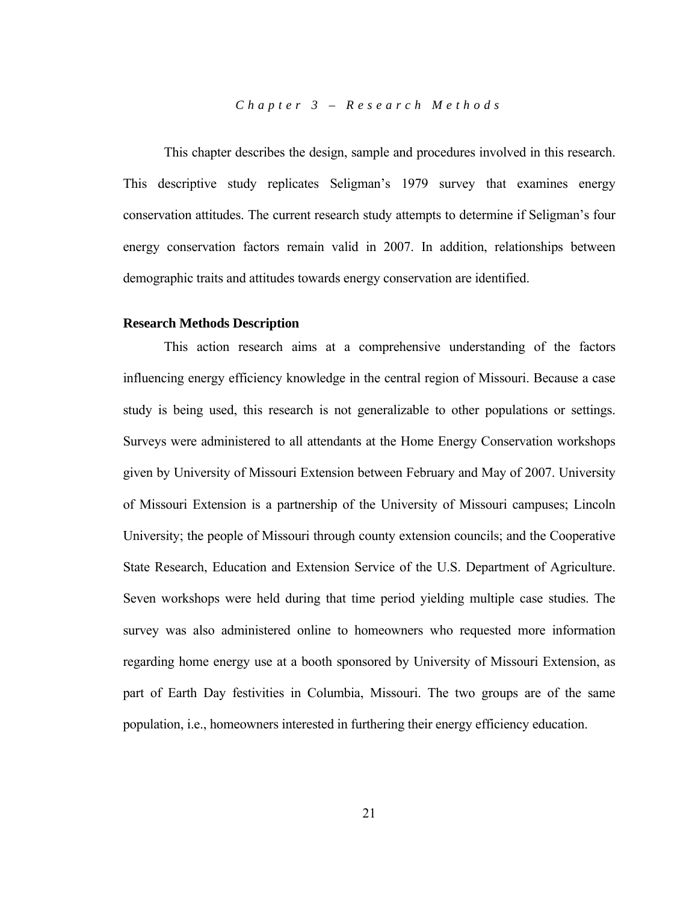*Chapter 3 – Research Methods* 

 This chapter describes the design, sample and procedures involved in this research. This descriptive study replicates Seligman's 1979 survey that examines energy conservation attitudes. The current research study attempts to determine if Seligman's four energy conservation factors remain valid in 2007. In addition, relationships between demographic traits and attitudes towards energy conservation are identified.

#### **Research Methods Description**

 This action research aims at a comprehensive understanding of the factors influencing energy efficiency knowledge in the central region of Missouri. Because a case study is being used, this research is not generalizable to other populations or settings. Surveys were administered to all attendants at the Home Energy Conservation workshops given by University of Missouri Extension between February and May of 2007. University of Missouri Extension is a partnership of the University of Missouri campuses; Lincoln University; the people of Missouri through county extension councils; and the Cooperative State Research, Education and Extension Service of the U.S. Department of Agriculture. Seven workshops were held during that time period yielding multiple case studies. The survey was also administered online to homeowners who requested more information regarding home energy use at a booth sponsored by University of Missouri Extension, as part of Earth Day festivities in Columbia, Missouri. The two groups are of the same population, i.e., homeowners interested in furthering their energy efficiency education.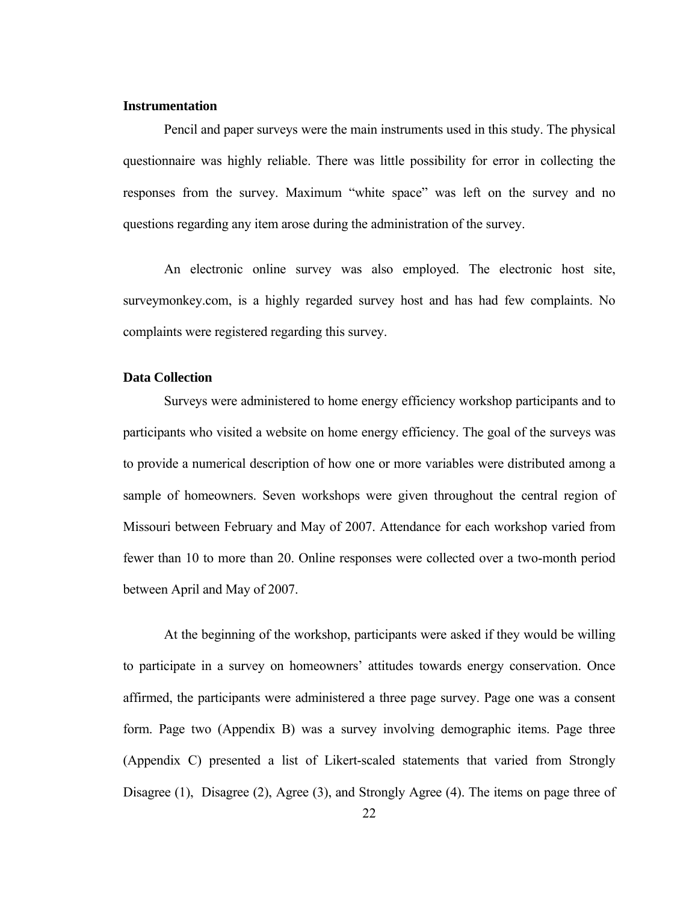#### **Instrumentation**

 Pencil and paper surveys were the main instruments used in this study. The physical questionnaire was highly reliable. There was little possibility for error in collecting the responses from the survey. Maximum "white space" was left on the survey and no questions regarding any item arose during the administration of the survey.

 An electronic online survey was also employed. The electronic host site, surveymonkey.com, is a highly regarded survey host and has had few complaints. No complaints were registered regarding this survey.

## **Data Collection**

 Surveys were administered to home energy efficiency workshop participants and to participants who visited a website on home energy efficiency. The goal of the surveys was to provide a numerical description of how one or more variables were distributed among a sample of homeowners. Seven workshops were given throughout the central region of Missouri between February and May of 2007. Attendance for each workshop varied from fewer than 10 to more than 20. Online responses were collected over a two-month period between April and May of 2007.

 At the beginning of the workshop, participants were asked if they would be willing to participate in a survey on homeowners' attitudes towards energy conservation. Once affirmed, the participants were administered a three page survey. Page one was a consent form. Page two (Appendix B) was a survey involving demographic items. Page three (Appendix C) presented a list of Likert-scaled statements that varied from Strongly Disagree (1), Disagree (2), Agree (3), and Strongly Agree (4). The items on page three of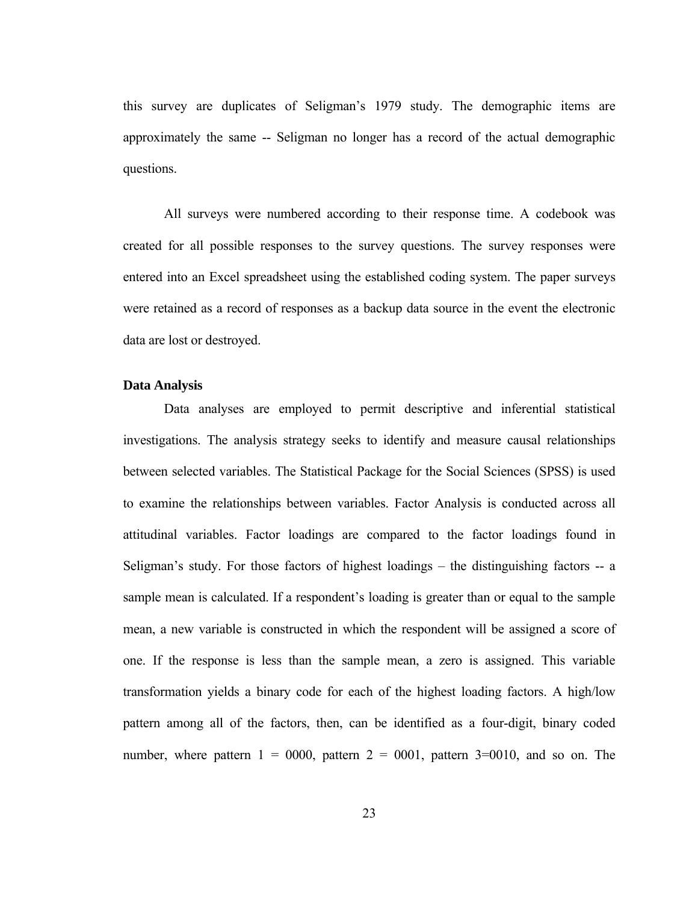this survey are duplicates of Seligman's 1979 study. The demographic items are approximately the same -- Seligman no longer has a record of the actual demographic questions.

 All surveys were numbered according to their response time. A codebook was created for all possible responses to the survey questions. The survey responses were entered into an Excel spreadsheet using the established coding system. The paper surveys were retained as a record of responses as a backup data source in the event the electronic data are lost or destroyed.

### **Data Analysis**

 Data analyses are employed to permit descriptive and inferential statistical investigations. The analysis strategy seeks to identify and measure causal relationships between selected variables. The Statistical Package for the Social Sciences (SPSS) is used to examine the relationships between variables. Factor Analysis is conducted across all attitudinal variables. Factor loadings are compared to the factor loadings found in Seligman's study. For those factors of highest loadings – the distinguishing factors -- a sample mean is calculated. If a respondent's loading is greater than or equal to the sample mean, a new variable is constructed in which the respondent will be assigned a score of one. If the response is less than the sample mean, a zero is assigned. This variable transformation yields a binary code for each of the highest loading factors. A high/low pattern among all of the factors, then, can be identified as a four-digit, binary coded number, where pattern  $1 = 0000$ , pattern  $2 = 0001$ , pattern  $3=0010$ , and so on. The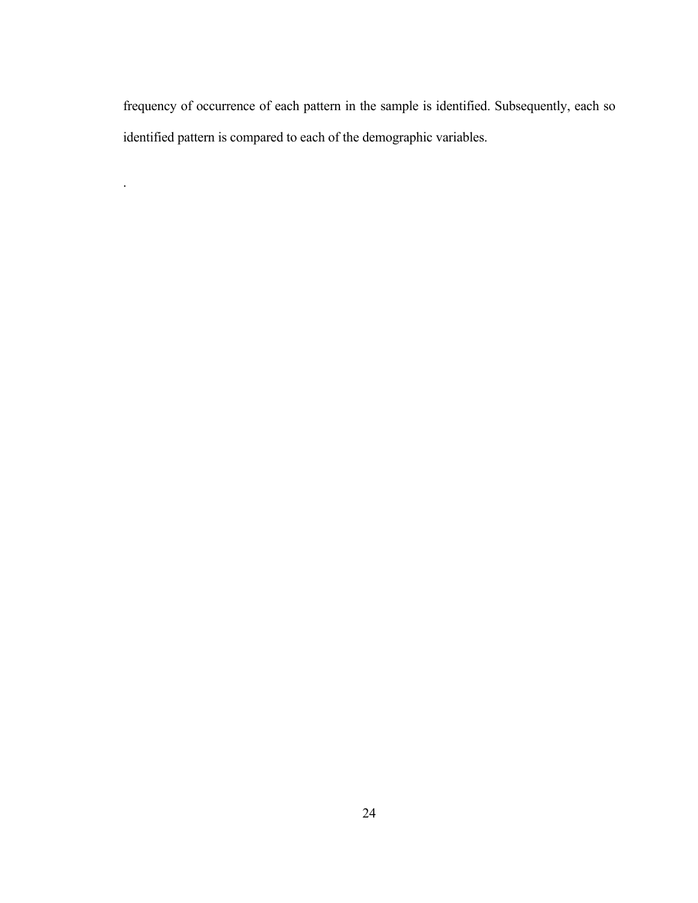frequency of occurrence of each pattern in the sample is identified. Subsequently, each so identified pattern is compared to each of the demographic variables.

.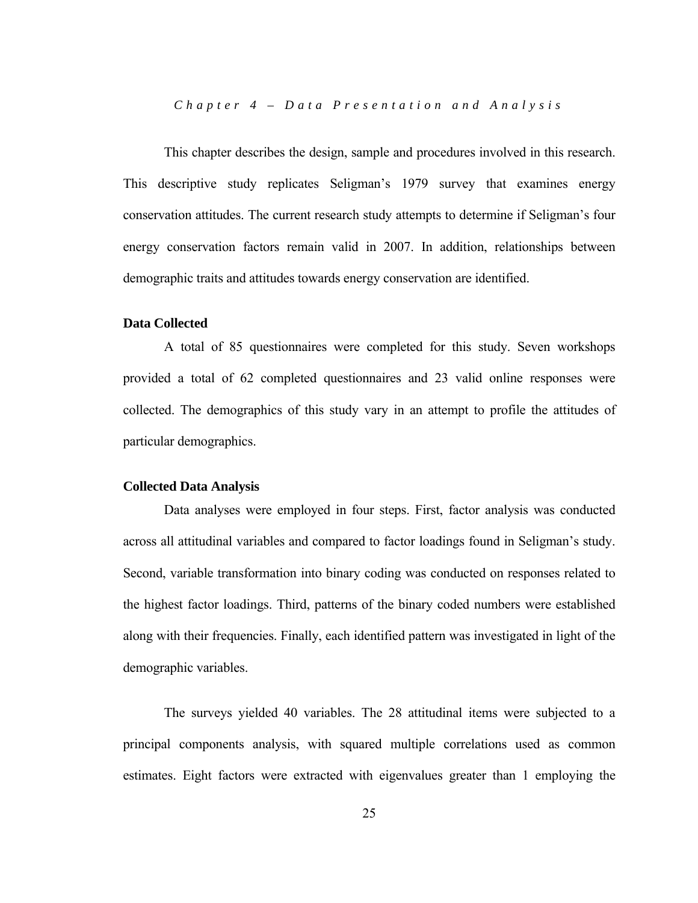*Chapter 4 – Data Prese ntation and Analysis* 

 This chapter describes the design, sample and procedures involved in this research. This descriptive study replicates Seligman's 1979 survey that examines energy conservation attitudes. The current research study attempts to determine if Seligman's four energy conservation factors remain valid in 2007. In addition, relationships between demographic traits and attitudes towards energy conservation are identified.

#### **Data Collected**

 A total of 85 questionnaires were completed for this study. Seven workshops provided a total of 62 completed questionnaires and 23 valid online responses were collected. The demographics of this study vary in an attempt to profile the attitudes of particular demographics.

### **Collected Data Analysis**

 Data analyses were employed in four steps. First, factor analysis was conducted across all attitudinal variables and compared to factor loadings found in Seligman's study. Second, variable transformation into binary coding was conducted on responses related to the highest factor loadings. Third, patterns of the binary coded numbers were established along with their frequencies. Finally, each identified pattern was investigated in light of the demographic variables.

 The surveys yielded 40 variables. The 28 attitudinal items were subjected to a principal components analysis, with squared multiple correlations used as common estimates. Eight factors were extracted with eigenvalues greater than 1 employing the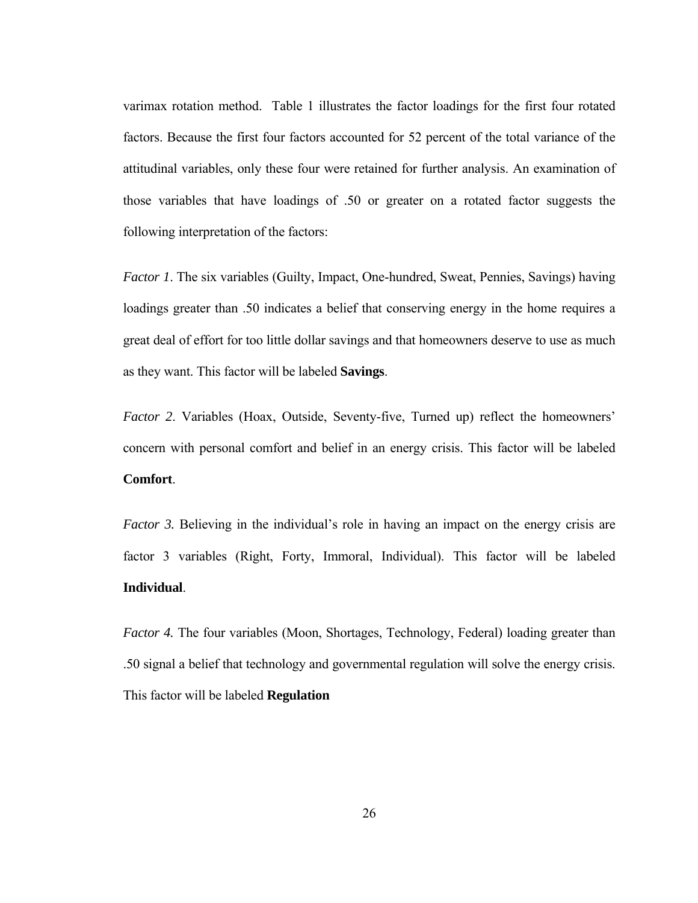varimax rotation method. Table 1 illustrates the factor loadings for the first four rotated factors. Because the first four factors accounted for 52 percent of the total variance of the attitudinal variables, only these four were retained for further analysis. An examination of those variables that have loadings of .50 or greater on a rotated factor suggests the following interpretation of the factors:

*Factor 1*. The six variables (Guilty, Impact, One-hundred, Sweat, Pennies, Savings) having loadings greater than .50 indicates a belief that conserving energy in the home requires a great deal of effort for too little dollar savings and that homeowners deserve to use as much as they want. This factor will be labeled **Savings**.

*Factor 2*. Variables (Hoax, Outside, Seventy-five, Turned up) reflect the homeowners' concern with personal comfort and belief in an energy crisis. This factor will be labeled **Comfort**.

*Factor 3.* Believing in the individual's role in having an impact on the energy crisis are factor 3 variables (Right, Forty, Immoral, Individual). This factor will be labeled **Individual**.

*Factor 4.* The four variables (Moon, Shortages, Technology, Federal) loading greater than .50 signal a belief that technology and governmental regulation will solve the energy crisis. This factor will be labeled **Regulation**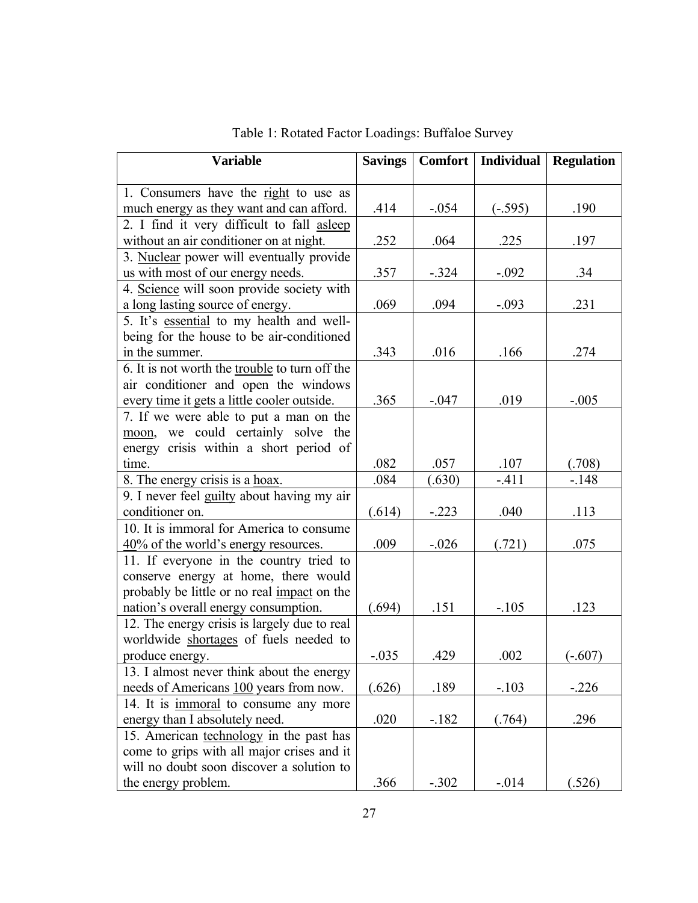| <b>Variable</b>                                | <b>Savings</b> | Comfort  | <b>Individual</b> | <b>Regulation</b> |
|------------------------------------------------|----------------|----------|-------------------|-------------------|
| 1. Consumers have the right to use as          |                |          |                   |                   |
| much energy as they want and can afford.       | .414           | $-0.054$ | $(-.595)$         | .190              |
| 2. I find it very difficult to fall asleep     |                |          |                   |                   |
| without an air conditioner on at night.        | .252           | .064     | .225              | .197              |
| 3. Nuclear power will eventually provide       |                |          |                   |                   |
| us with most of our energy needs.              | .357           | $-.324$  | $-.092$           | .34               |
| 4. Science will soon provide society with      |                |          |                   |                   |
| a long lasting source of energy.               | .069           | .094     | $-.093$           | .231              |
| 5. It's essential to my health and well-       |                |          |                   |                   |
| being for the house to be air-conditioned      |                |          |                   |                   |
| in the summer.                                 | .343           | .016     | .166              | .274              |
| 6. It is not worth the trouble to turn off the |                |          |                   |                   |
| air conditioner and open the windows           |                |          |                   |                   |
| every time it gets a little cooler outside.    | .365           | $-.047$  | .019              | $-.005$           |
| 7. If we were able to put a man on the         |                |          |                   |                   |
| moon, we could certainly solve the             |                |          |                   |                   |
| energy crisis within a short period of         |                |          |                   |                   |
| time.                                          | .082           | .057     | .107              | (.708)            |
| 8. The energy crisis is a <u>hoax</u> .        | .084           | (.630)   | $-411$            | $-.148$           |
| 9. I never feel guilty about having my air     |                |          |                   |                   |
| conditioner on.                                | (.614)         | $-.223$  | .040              | .113              |
| 10. It is immoral for America to consume       |                |          |                   |                   |
| 40% of the world's energy resources.           | .009           | $-0.026$ | (.721)            | .075              |
| 11. If everyone in the country tried to        |                |          |                   |                   |
| conserve energy at home, there would           |                |          |                   |                   |
| probably be little or no real impact on the    |                |          |                   |                   |
| nation's overall energy consumption.           | (.694)         | .151     | $-.105$           | .123              |
| 12. The energy crisis is largely due to real   |                |          |                   |                   |
| worldwide shortages of fuels needed to         |                |          |                   |                   |
| produce energy.                                | $-.035$        | .429     | .002              | $(-.607)$         |
| 13. I almost never think about the energy      |                |          |                   |                   |
| needs of Americans 100 years from now.         | (.626)         | .189     | $-.103$           | $-.226$           |
| 14. It is immoral to consume any more          |                |          |                   |                   |
| energy than I absolutely need.                 | .020           | $-182$   | (.764)            | .296              |
| 15. American technology in the past has        |                |          |                   |                   |
| come to grips with all major crises and it     |                |          |                   |                   |
| will no doubt soon discover a solution to      |                |          |                   |                   |
| the energy problem.                            | .366           | $-.302$  | $-0.014$          | (.526)            |

Table 1: Rotated Factor Loadings: Buffaloe Survey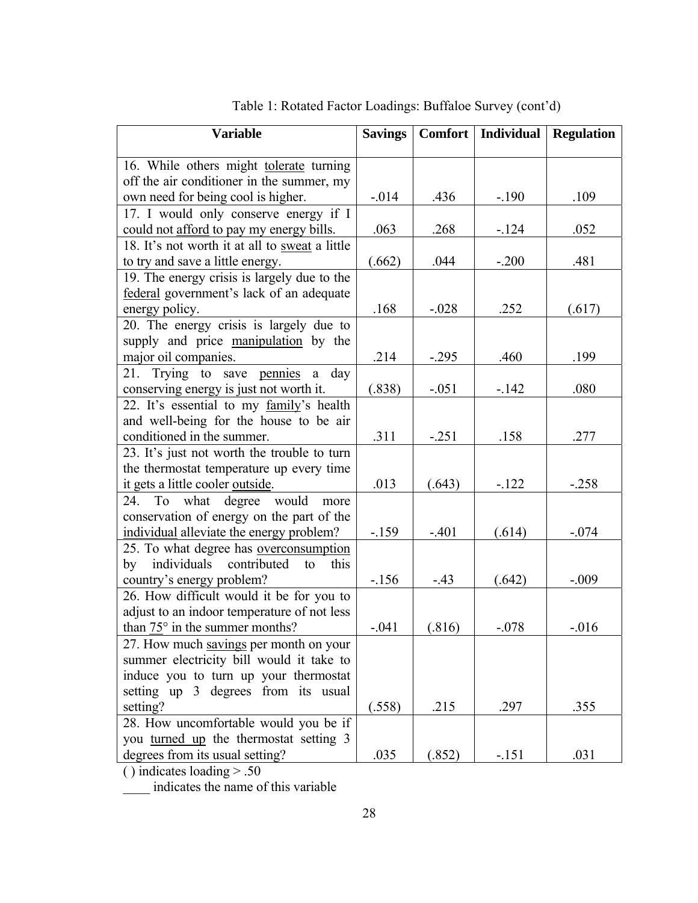| <b>Variable</b>                                                              | <b>Savings</b> | <b>Comfort</b> | <b>Individual</b> | <b>Regulation</b> |
|------------------------------------------------------------------------------|----------------|----------------|-------------------|-------------------|
| 16. While others might tolerate turning                                      |                |                |                   |                   |
| off the air conditioner in the summer, my                                    |                |                |                   |                   |
| own need for being cool is higher.                                           | $-0.014$       | .436           | $-190$            | .109              |
| 17. I would only conserve energy if I                                        |                |                |                   |                   |
| could not afford to pay my energy bills.                                     | .063           | .268           | $-124$            | .052              |
| 18. It's not worth it at all to sweat a little                               |                |                |                   |                   |
| to try and save a little energy.                                             | (.662)         | .044           | $-.200$           | .481              |
| 19. The energy crisis is largely due to the                                  |                |                |                   |                   |
| federal government's lack of an adequate                                     |                |                |                   |                   |
| energy policy.                                                               | .168           | $-.028$        | .252              | (.617)            |
| 20. The energy crisis is largely due to                                      |                |                |                   |                   |
| supply and price manipulation by the                                         |                |                |                   |                   |
| major oil companies.                                                         | .214           | $-.295$        | .460              | .199              |
| 21. Trying to save pennies a<br>day                                          |                |                |                   |                   |
| conserving energy is just not worth it.                                      | (.838)         | $-.051$        | $-142$            | .080              |
| 22. It's essential to my family's health                                     |                |                |                   |                   |
| and well-being for the house to be air                                       |                |                |                   |                   |
| conditioned in the summer.                                                   | .311           | $-.251$        | .158              | .277              |
| 23. It's just not worth the trouble to turn                                  |                |                |                   |                   |
| the thermostat temperature up every time                                     |                |                |                   |                   |
| it gets a little cooler outside.                                             | .013           | (.643)         | $-122$            | $-.258$           |
| 24. To what degree<br>would<br>more                                          |                |                |                   |                   |
| conservation of energy on the part of the                                    |                |                |                   |                   |
| individual alleviate the energy problem?                                     | $-159$         | $-.401$        | (.614)            | $-.074$           |
| 25. To what degree has overconsumption<br>individuals<br>contributed<br>this |                |                |                   |                   |
| by<br>to<br>country's energy problem?                                        | $-156$         | $-43$          | (.642)            | $-.009$           |
| 26. How difficult would it be for you to                                     |                |                |                   |                   |
| adjust to an indoor temperature of not less                                  |                |                |                   |                   |
| than 75° in the summer months?                                               | $-.041$        | (.816)         | $-.078$           | $-0.016$          |
| 27. How much savings per month on your                                       |                |                |                   |                   |
| summer electricity bill would it take to                                     |                |                |                   |                   |
| induce you to turn up your thermostat                                        |                |                |                   |                   |
| setting up 3 degrees from its usual                                          |                |                |                   |                   |
| setting?                                                                     | (.558)         | .215           | .297              | .355              |
| 28. How uncomfortable would you be if                                        |                |                |                   |                   |
| you turned up the thermostat setting 3                                       |                |                |                   |                   |
| degrees from its usual setting?                                              | .035           | (.852)         | $-151$            | .031              |

| Table 1: Rotated Factor Loadings: Buffaloe Survey (cont'd) |  |  |
|------------------------------------------------------------|--|--|
|                                                            |  |  |

( ) indicates loading > .50

\_\_\_\_ indicates the name of this variable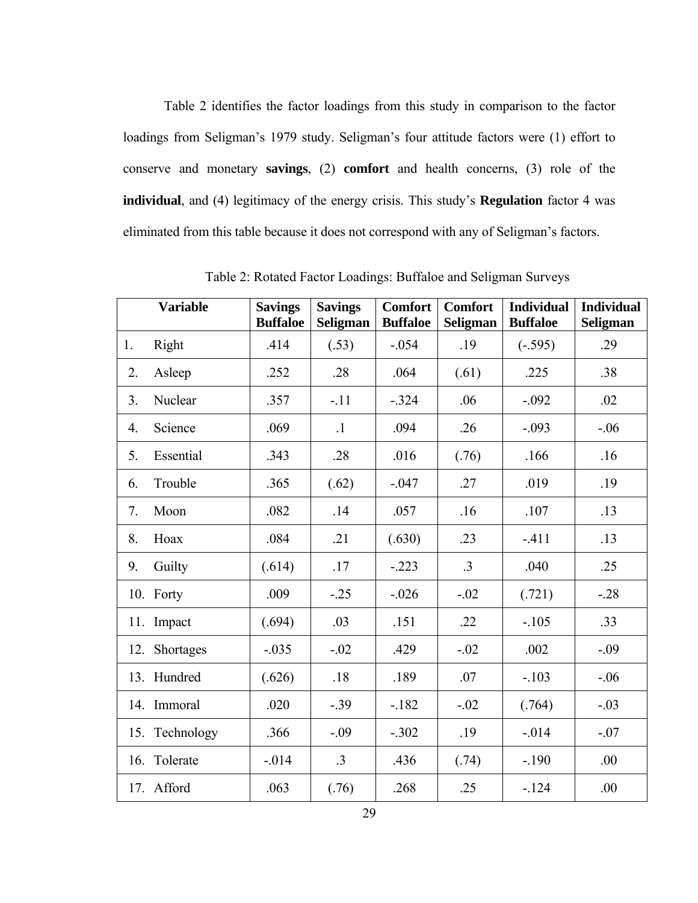Table 2 identifies the factor loadings from this study in comparison to the factor loadings from Seligman's 1979 study. Seligman's four attitude factors were (1) effort to conserve and monetary **savings**, (2) **comfort** and health concerns, (3) role of the **individual**, and (4) legitimacy of the energy crisis. This study's **Regulation** factor 4 was eliminated from this table because it does not correspond with any of Seligman's factors.

|     | <b>Variable</b> | <b>Savings</b><br><b>Buffaloe</b> | <b>Savings</b><br>Seligman | <b>Comfort</b><br><b>Buffaloe</b> | <b>Comfort</b><br>Seligman | <b>Individual</b><br><b>Buffaloe</b> | <b>Individual</b><br>Seligman |
|-----|-----------------|-----------------------------------|----------------------------|-----------------------------------|----------------------------|--------------------------------------|-------------------------------|
| 1.  | Right           | .414                              | (.53)                      | $-.054$                           | .19                        | $(-.595)$                            | .29                           |
| 2.  | Asleep          | .252                              | .28                        | .064                              | (.61)                      | .225                                 | .38                           |
| 3.  | Nuclear         | .357                              | $-.11$                     | $-.324$                           | .06                        | $-.092$                              | .02                           |
| 4.  | Science         | .069                              | $\cdot$ 1                  | .094                              | .26                        | $-.093$                              | $-.06$                        |
| 5.  | Essential       | .343                              | .28                        | .016                              | (.76)                      | .166                                 | .16                           |
| 6.  | Trouble         | .365                              | (.62)                      | $-.047$                           | .27                        | .019                                 | .19                           |
| 7.  | Moon            | .082                              | .14                        | .057                              | .16                        | .107                                 | .13                           |
| 8.  | Hoax            | .084                              | .21                        | (.630)                            | .23                        | $-411$                               | .13                           |
| 9.  | Guilty          | (.614)                            | .17                        | $-.223$                           | $\cdot$ 3                  | .040                                 | .25                           |
|     | 10. Forty       | .009                              | $-.25$                     | $-.026$                           | $-.02$                     | (.721)                               | $-.28$                        |
| 11. | Impact          | (.694)                            | .03                        | .151                              | .22                        | $-.105$                              | .33                           |
| 12. | Shortages       | $-.035$                           | $-.02$                     | .429                              | $-.02$                     | .002                                 | $-.09$                        |
|     | 13. Hundred     | (.626)                            | .18                        | .189                              | .07                        | $-.103$                              | $-0.06$                       |
|     | 14. Immoral     | .020                              | $-0.39$                    | $-182$                            | $-.02$                     | (.764)                               | $-.03$                        |
|     | 15. Technology  | .366                              | $-.09$                     | $-.302$                           | .19                        | $-0.014$                             | $-.07$                        |
| 16. | Tolerate        | $-.014$                           | $\cdot$ 3                  | .436                              | (.74)                      | $-.190$                              | .00                           |
|     | 17. Afford      | .063                              | (.76)                      | .268                              | .25                        | $-124$                               | .00                           |

Table 2: Rotated Factor Loadings: Buffaloe and Seligman Surveys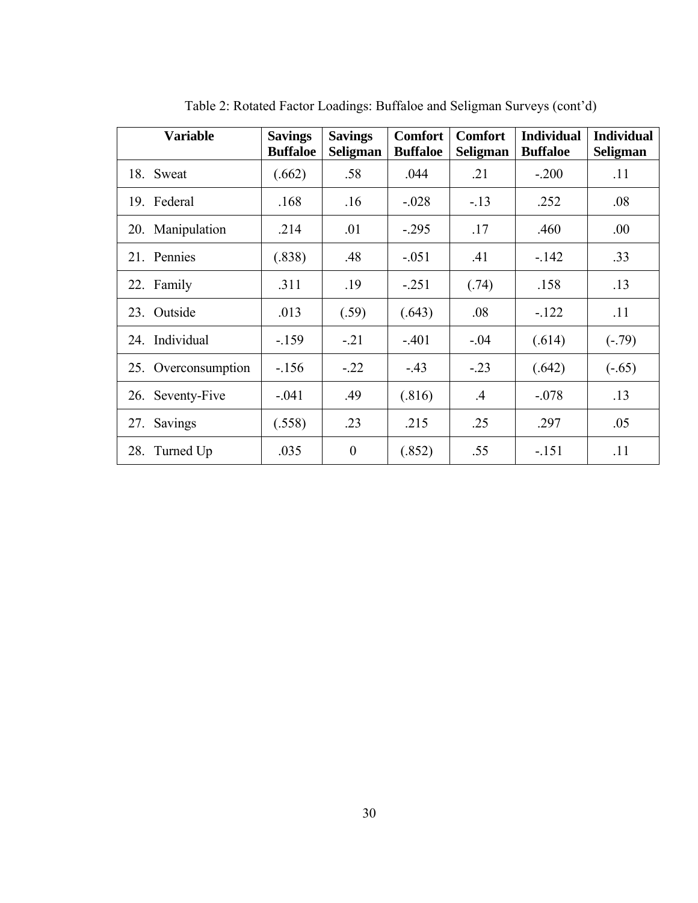| <b>Variable</b>     | <b>Savings</b><br><b>Buffaloe</b> | <b>Savings</b><br><b>Seligman</b> | <b>Comfort</b><br><b>Buffaloe</b> | <b>Comfort</b><br><b>Seligman</b> | <b>Individual</b><br><b>Buffaloe</b> | <b>Individual</b><br>Seligman |
|---------------------|-----------------------------------|-----------------------------------|-----------------------------------|-----------------------------------|--------------------------------------|-------------------------------|
| 18.<br>Sweat        | (.662)                            | .58                               | .044                              | .21                               | $-.200$                              | .11                           |
| 19. Federal         | .168                              | .16                               | $-.028$                           | $-13$                             | .252                                 | .08                           |
| 20. Manipulation    | .214                              | .01                               | $-.295$                           | .17                               | .460                                 | .00.                          |
| 21. Pennies         | (.838)                            | .48                               | $-.051$                           | .41                               | $-142$                               | .33                           |
| 22. Family          | .311                              | .19                               | $-.251$                           | (.74)                             | .158                                 | .13                           |
| 23. Outside         | .013                              | (.59)                             | (.643)                            | .08                               | $-122$                               | .11                           |
| 24. Individual      | $-159$                            | $-21$                             | $-.401$                           | $-.04$                            | (.614)                               | $(-.79)$                      |
| 25. Overconsumption | $-156$                            | $-.22$                            | $-43$                             | $-.23$                            | (.642)                               | $(-.65)$                      |
| Seventy-Five<br>26. | $-0.041$                          | .49                               | (.816)                            | $\mathcal{A}$                     | $-.078$                              | .13                           |
| Savings<br>27.      | (.558)                            | .23                               | .215                              | .25                               | .297                                 | .05                           |
| 28. Turned Up       | .035                              | $\boldsymbol{0}$                  | (.852)                            | .55                               | $-151$                               | .11                           |

Table 2: Rotated Factor Loadings: Buffaloe and Seligman Surveys (cont'd)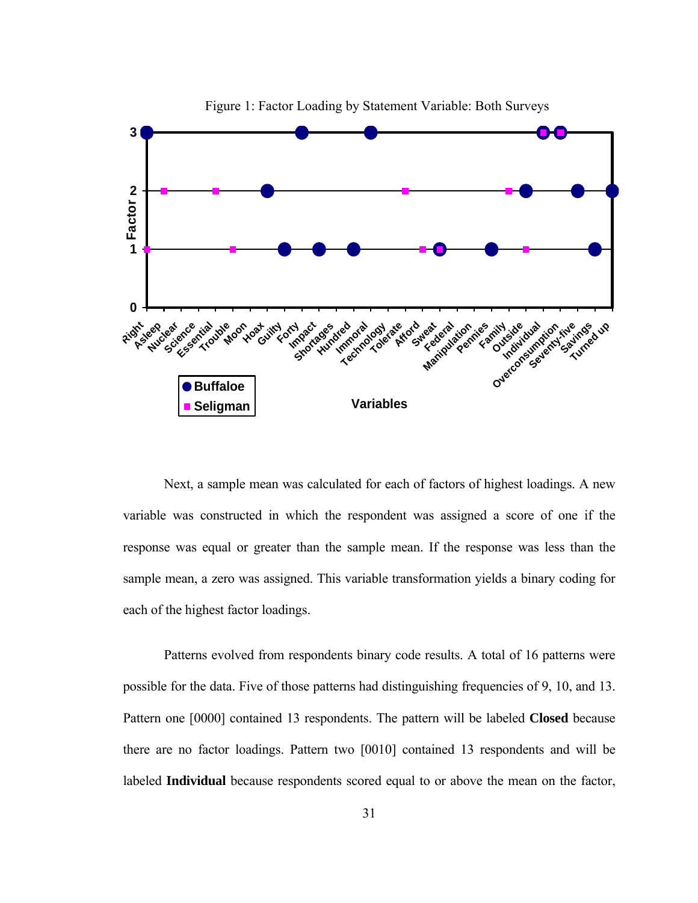

Figure 1: Factor Loading by Statement Variable: Both Surveys

Next, a sample mean was calculated for each of factors of highest loadings. A new variable was constructed in which the respondent was assigned a score of one if the response was equal or greater than the sample mean. If the response was less than the sample mean, a zero was assigned. This variable transformation yields a binary coding for each of the highest factor loadings.

 Patterns evolved from respondents binary code results. A total of 16 patterns were possible for the data. Five of those patterns had distinguishing frequencies of 9, 10, and 13. Pattern one [0000] contained 13 respondents. The pattern will be labeled **Closed** because there are no factor loadings. Pattern two [0010] contained 13 respondents and will be labeled **Individual** because respondents scored equal to or above the mean on the factor,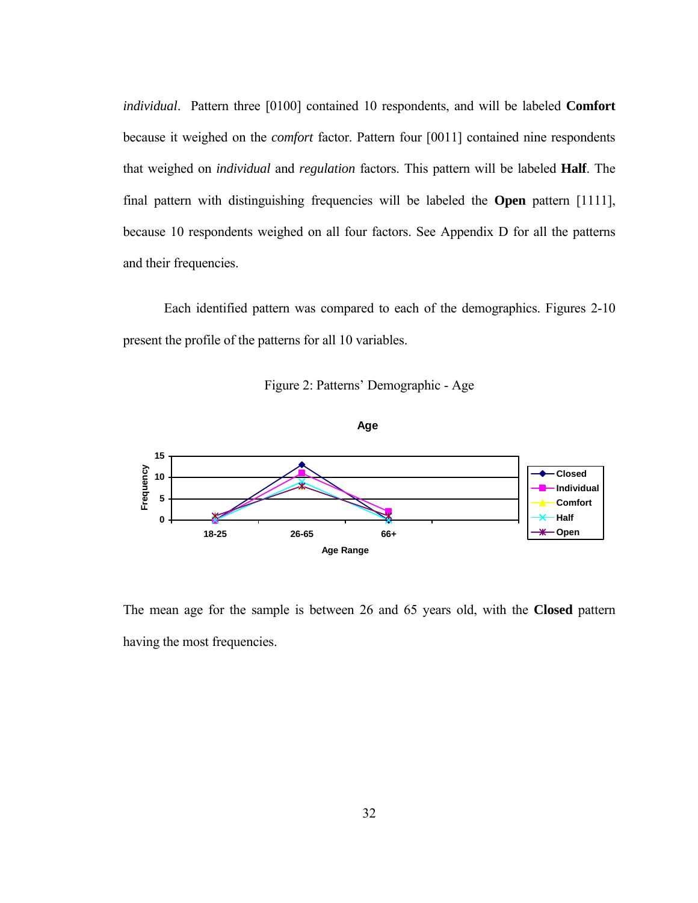*individual*. Pattern three [0100] contained 10 respondents, and will be labeled **Comfort** because it weighed on the *comfort* factor. Pattern four [0011] contained nine respondents that weighed on *individual* and *regulation* factors. This pattern will be labeled **Half**. The final pattern with distinguishing frequencies will be labeled the **Open** pattern [1111], because 10 respondents weighed on all four factors. See Appendix D for all the patterns and their frequencies.

 Each identified pattern was compared to each of the demographics. Figures 2-10 present the profile of the patterns for all 10 variables.

Figure 2: Patterns' Demographic - Age



The mean age for the sample is between 26 and 65 years old, with the **Closed** pattern having the most frequencies.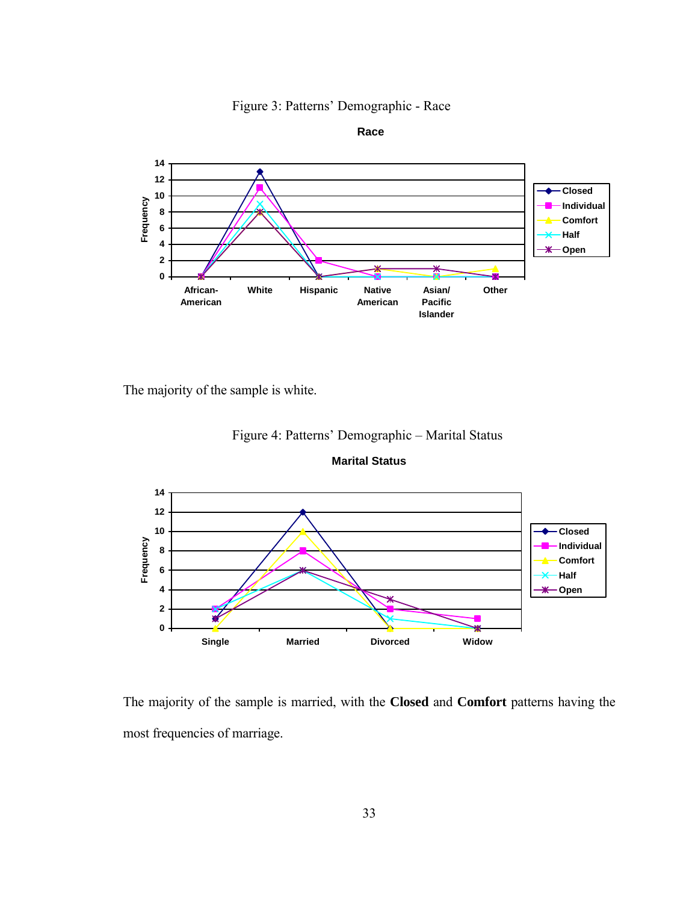



**Race**

The majority of the sample is white.



Figure 4: Patterns' Demographic – Marital Status

The majority of the sample is married, with the **Closed** and **Comfort** patterns having the most frequencies of marriage.

33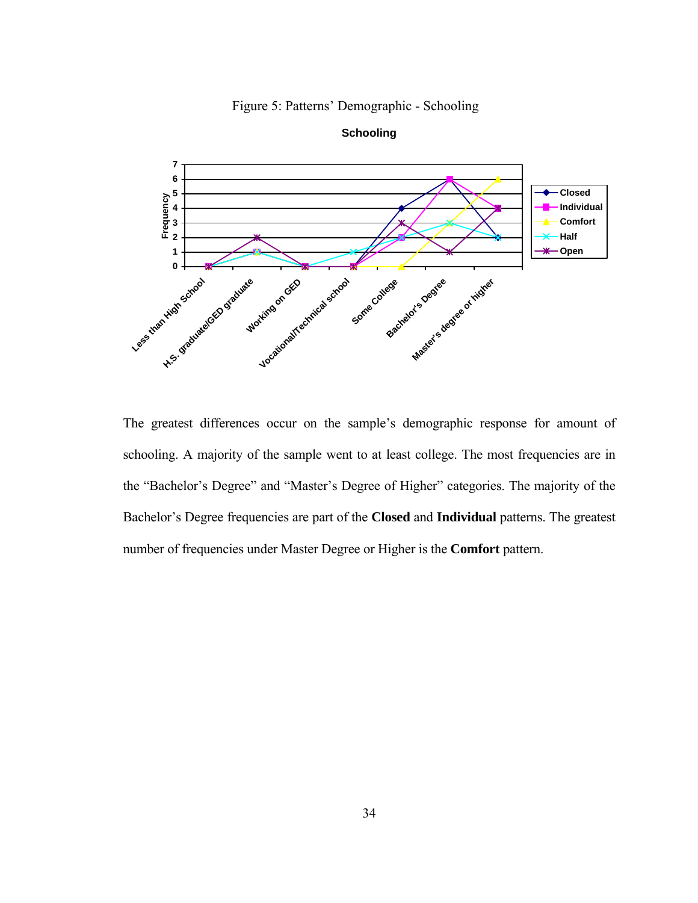





The greatest differences occur on the sample's demographic response for amount of schooling. A majority of the sample went to at least college. The most frequencies are in the "Bachelor's Degree" and "Master's Degree of Higher" categories. The majority of the Bachelor's Degree frequencies are part of the **Closed** and **Individual** patterns. The greatest number of frequencies under Master Degree or Higher is the **Comfort** pattern.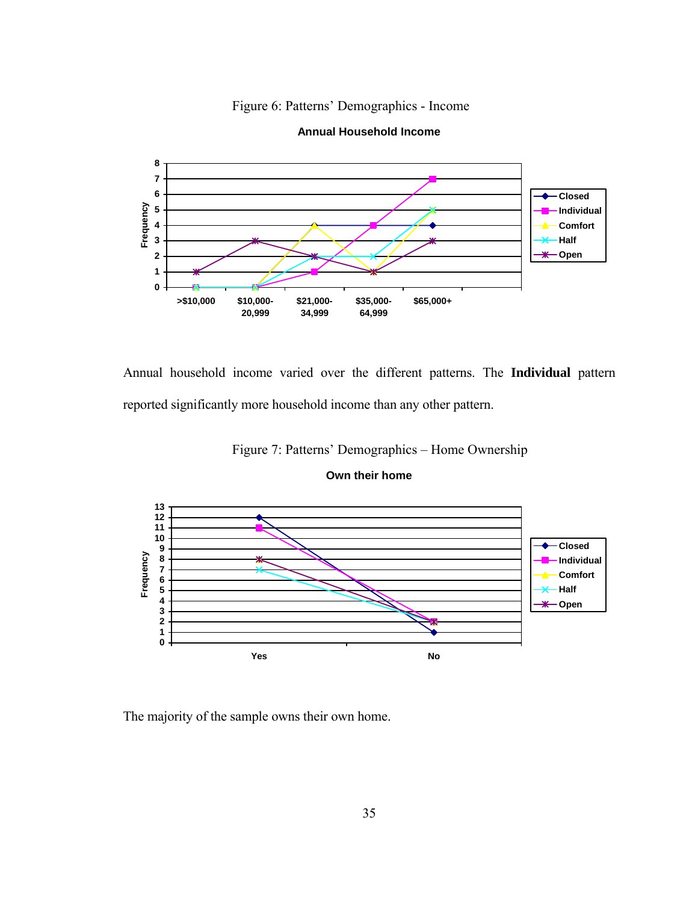Figure 6: Patterns' Demographics - Income



#### **Annual Household Income**

Annual household income varied over the different patterns. The **Individual** pattern reported significantly more household income than any other pattern.

Figure 7: Patterns' Demographics – Home Ownership





The majority of the sample owns their own home.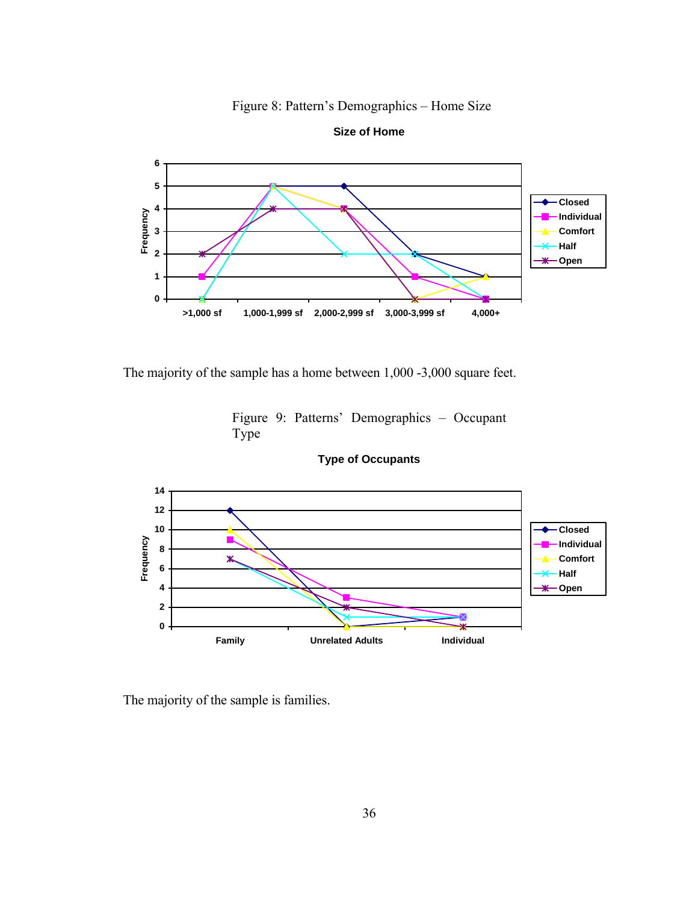





The majority of the sample has a home between 1,000 -3,000 square feet.





**Type of Occupants**

The majority of the sample is families.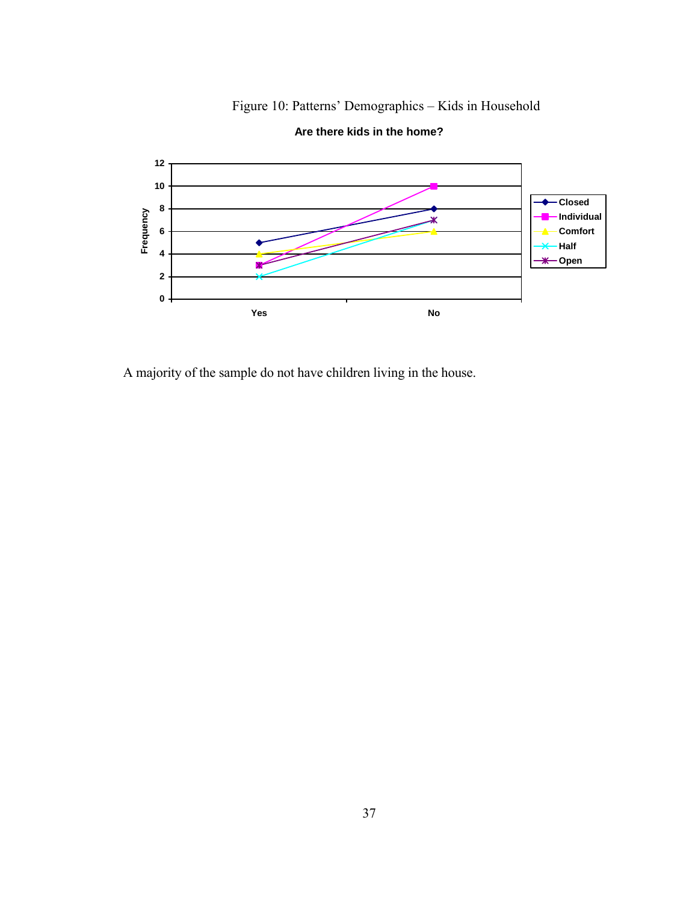Figure 10: Patterns' Demographics – Kids in Household



**Are there kids in the home?**

A majority of the sample do not have children living in the house.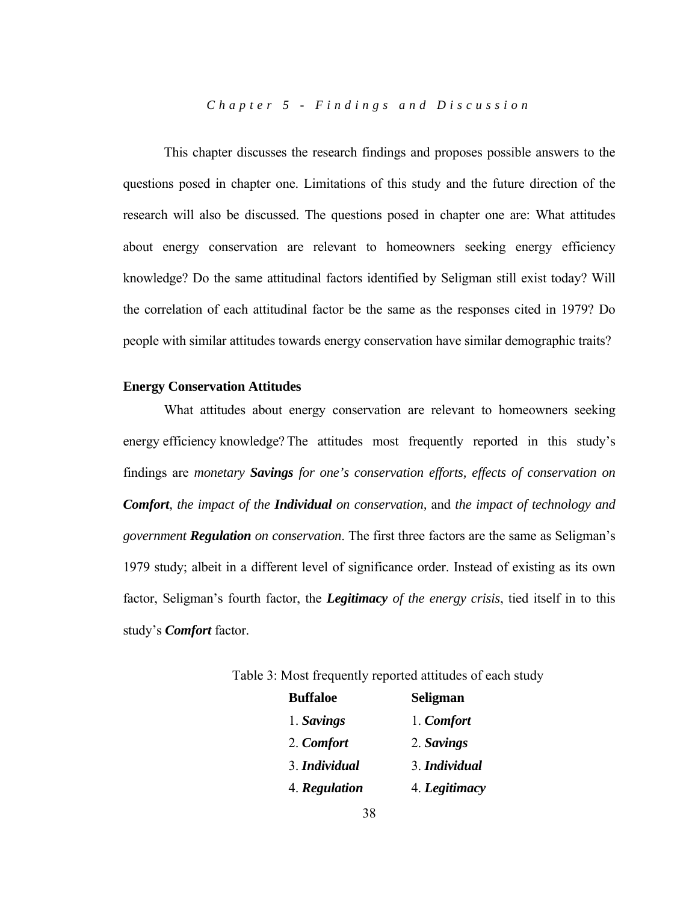*Chapter 5 - Findings and Discussion* 

 This chapter discusses the research findings and proposes possible answers to the questions posed in chapter one. Limitations of this study and the future direction of the research will also be discussed. The questions posed in chapter one are: What attitudes about energy conservation are relevant to homeowners seeking energy efficiency knowledge? Do the same attitudinal factors identified by Seligman still exist today? Will the correlation of each attitudinal factor be the same as the responses cited in 1979? Do people with similar attitudes towards energy conservation have similar demographic traits?

#### **Energy Conservation Attitudes**

 What attitudes about energy conservation are relevant to homeowners seeking energy efficiency knowledge? The attitudes most frequently reported in this study's findings are *monetary Savings for one's conservation efforts, effects of conservation on Comfort, the impact of the Individual on conservation,* and *the impact of technology and government Regulation on conservation*. The first three factors are the same as Seligman's 1979 study; albeit in a different level of significance order. Instead of existing as its own factor, Seligman's fourth factor, the *Legitimacy of the energy crisis*, tied itself in to this study's *Comfort* factor.

| Table 3: Most frequently reported attitudes of each study |
|-----------------------------------------------------------|
|-----------------------------------------------------------|

| Seligman      |
|---------------|
| 1. Comfort    |
| 2. Savings    |
| 3. Individual |
| 4. Legitimacy |
|               |

38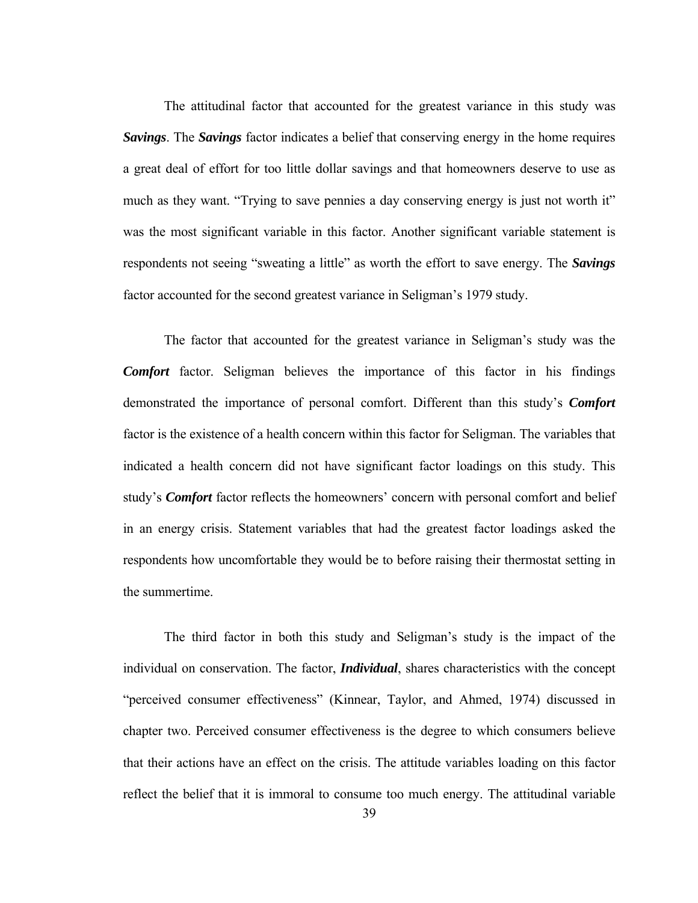The attitudinal factor that accounted for the greatest variance in this study was *Savings*. The *Savings* factor indicates a belief that conserving energy in the home requires a great deal of effort for too little dollar savings and that homeowners deserve to use as much as they want. "Trying to save pennies a day conserving energy is just not worth it" was the most significant variable in this factor. Another significant variable statement is respondents not seeing "sweating a little" as worth the effort to save energy. The *Savings* factor accounted for the second greatest variance in Seligman's 1979 study.

 The factor that accounted for the greatest variance in Seligman's study was the *Comfort* factor. Seligman believes the importance of this factor in his findings demonstrated the importance of personal comfort. Different than this study's *Comfort* factor is the existence of a health concern within this factor for Seligman. The variables that indicated a health concern did not have significant factor loadings on this study. This study's *Comfort* factor reflects the homeowners' concern with personal comfort and belief in an energy crisis. Statement variables that had the greatest factor loadings asked the respondents how uncomfortable they would be to before raising their thermostat setting in the summertime.

 The third factor in both this study and Seligman's study is the impact of the individual on conservation. The factor, *Individual*, shares characteristics with the concept "perceived consumer effectiveness" (Kinnear, Taylor, and Ahmed, 1974) discussed in chapter two. Perceived consumer effectiveness is the degree to which consumers believe that their actions have an effect on the crisis. The attitude variables loading on this factor reflect the belief that it is immoral to consume too much energy. The attitudinal variable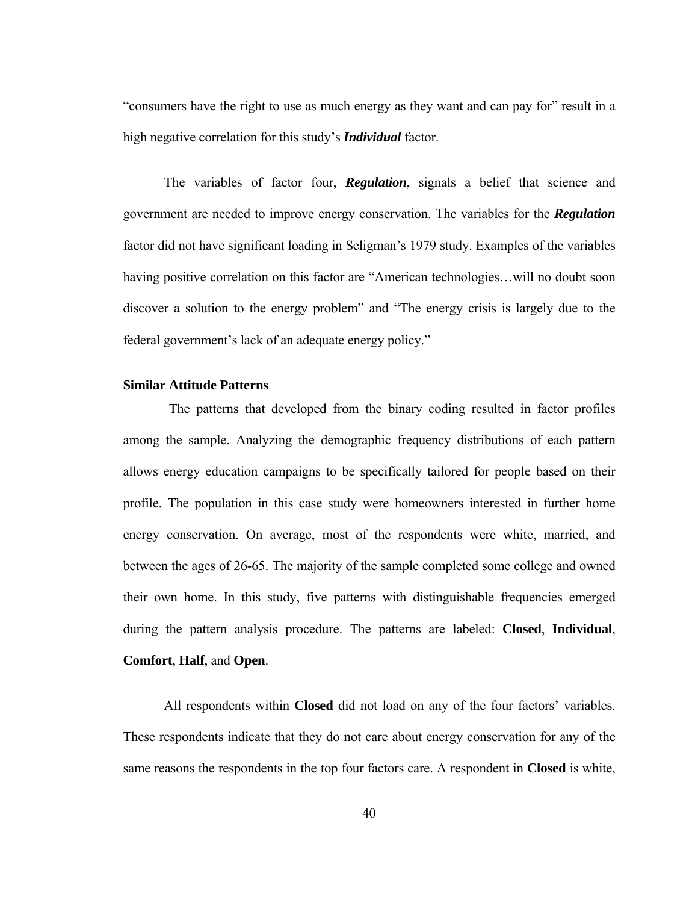"consumers have the right to use as much energy as they want and can pay for" result in a high negative correlation for this study's *Individual* factor.

 The variables of factor four, *Regulation*, signals a belief that science and government are needed to improve energy conservation. The variables for the *Regulation* factor did not have significant loading in Seligman's 1979 study. Examples of the variables having positive correlation on this factor are "American technologies…will no doubt soon discover a solution to the energy problem" and "The energy crisis is largely due to the federal government's lack of an adequate energy policy."

### **Similar Attitude Patterns**

 The patterns that developed from the binary coding resulted in factor profiles among the sample. Analyzing the demographic frequency distributions of each pattern allows energy education campaigns to be specifically tailored for people based on their profile. The population in this case study were homeowners interested in further home energy conservation. On average, most of the respondents were white, married, and between the ages of 26-65. The majority of the sample completed some college and owned their own home. In this study, five patterns with distinguishable frequencies emerged during the pattern analysis procedure. The patterns are labeled: **Closed**, **Individual**, **Comfort**, **Half**, and **Open**.

 All respondents within **Closed** did not load on any of the four factors' variables. These respondents indicate that they do not care about energy conservation for any of the same reasons the respondents in the top four factors care. A respondent in **Closed** is white,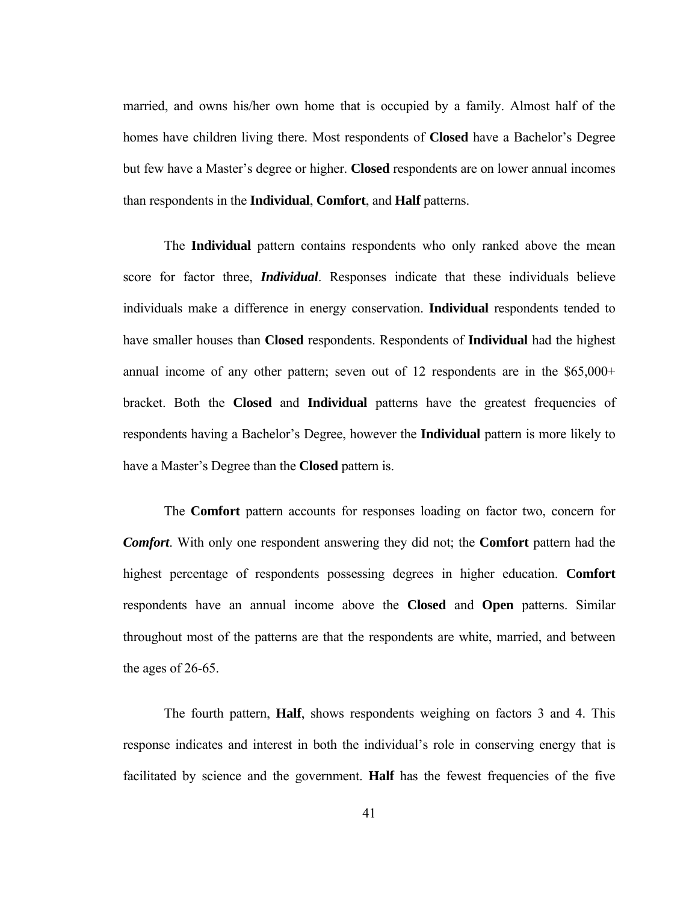married, and owns his/her own home that is occupied by a family. Almost half of the homes have children living there. Most respondents of **Closed** have a Bachelor's Degree but few have a Master's degree or higher. **Closed** respondents are on lower annual incomes than respondents in the **Individual**, **Comfort**, and **Half** patterns.

 The **Individual** pattern contains respondents who only ranked above the mean score for factor three, *Individual*. Responses indicate that these individuals believe individuals make a difference in energy conservation. **Individual** respondents tended to have smaller houses than **Closed** respondents. Respondents of **Individual** had the highest annual income of any other pattern; seven out of 12 respondents are in the \$65,000+ bracket. Both the **Closed** and **Individual** patterns have the greatest frequencies of respondents having a Bachelor's Degree, however the **Individual** pattern is more likely to have a Master's Degree than the **Closed** pattern is.

 The **Comfort** pattern accounts for responses loading on factor two, concern for *Comfort*. With only one respondent answering they did not; the **Comfort** pattern had the highest percentage of respondents possessing degrees in higher education. **Comfort** respondents have an annual income above the **Closed** and **Open** patterns. Similar throughout most of the patterns are that the respondents are white, married, and between the ages of 26-65.

 The fourth pattern, **Half**, shows respondents weighing on factors 3 and 4. This response indicates and interest in both the individual's role in conserving energy that is facilitated by science and the government. **Half** has the fewest frequencies of the five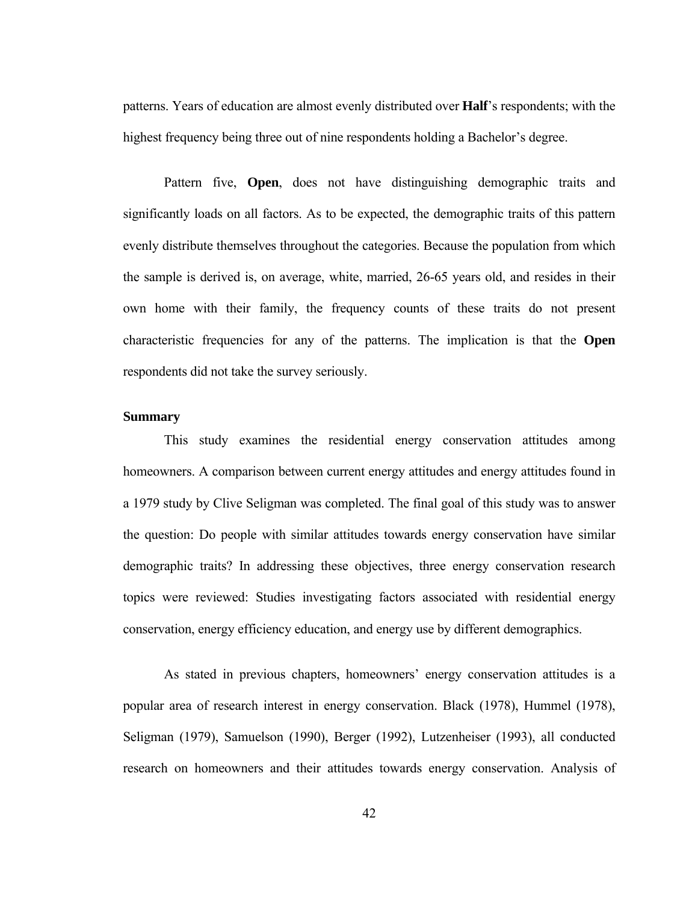patterns. Years of education are almost evenly distributed over **Half**'s respondents; with the highest frequency being three out of nine respondents holding a Bachelor's degree.

 Pattern five, **Open**, does not have distinguishing demographic traits and significantly loads on all factors. As to be expected, the demographic traits of this pattern evenly distribute themselves throughout the categories. Because the population from which the sample is derived is, on average, white, married, 26-65 years old, and resides in their own home with their family, the frequency counts of these traits do not present characteristic frequencies for any of the patterns. The implication is that the **Open** respondents did not take the survey seriously.

### **Summary**

 This study examines the residential energy conservation attitudes among homeowners. A comparison between current energy attitudes and energy attitudes found in a 1979 study by Clive Seligman was completed. The final goal of this study was to answer the question: Do people with similar attitudes towards energy conservation have similar demographic traits? In addressing these objectives, three energy conservation research topics were reviewed: Studies investigating factors associated with residential energy conservation, energy efficiency education, and energy use by different demographics.

 As stated in previous chapters, homeowners' energy conservation attitudes is a popular area of research interest in energy conservation. Black (1978), Hummel (1978), Seligman (1979), Samuelson (1990), Berger (1992), Lutzenheiser (1993), all conducted research on homeowners and their attitudes towards energy conservation. Analysis of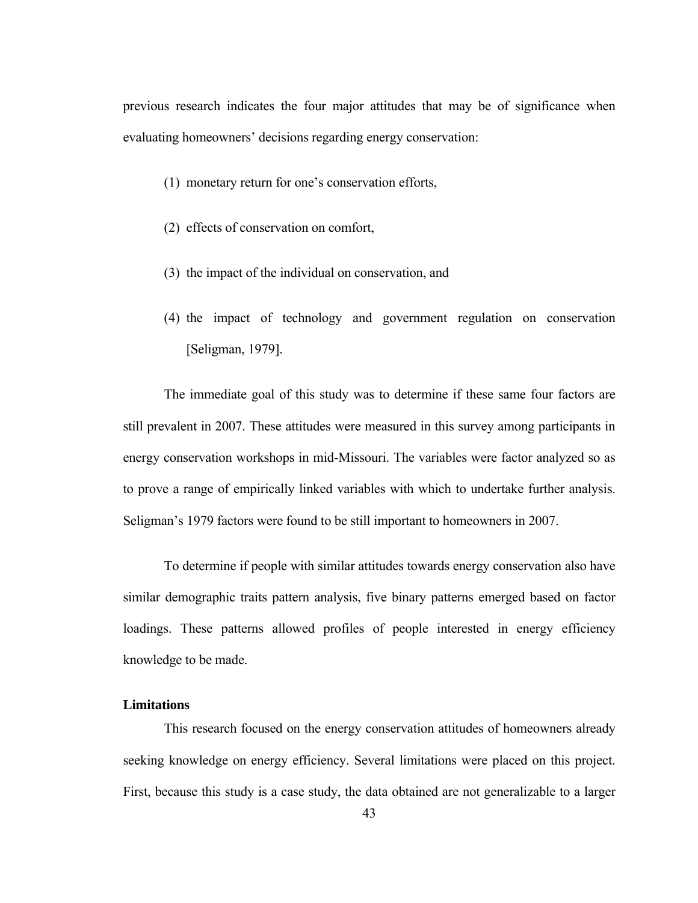previous research indicates the four major attitudes that may be of significance when evaluating homeowners' decisions regarding energy conservation:

- (1) monetary return for one's conservation efforts,
- (2) effects of conservation on comfort,
- (3) the impact of the individual on conservation, and
- (4) the impact of technology and government regulation on conservation [Seligman, 1979].

 The immediate goal of this study was to determine if these same four factors are still prevalent in 2007. These attitudes were measured in this survey among participants in energy conservation workshops in mid-Missouri. The variables were factor analyzed so as to prove a range of empirically linked variables with which to undertake further analysis. Seligman's 1979 factors were found to be still important to homeowners in 2007.

 To determine if people with similar attitudes towards energy conservation also have similar demographic traits pattern analysis, five binary patterns emerged based on factor loadings. These patterns allowed profiles of people interested in energy efficiency knowledge to be made.

## **Limitations**

 This research focused on the energy conservation attitudes of homeowners already seeking knowledge on energy efficiency. Several limitations were placed on this project. First, because this study is a case study, the data obtained are not generalizable to a larger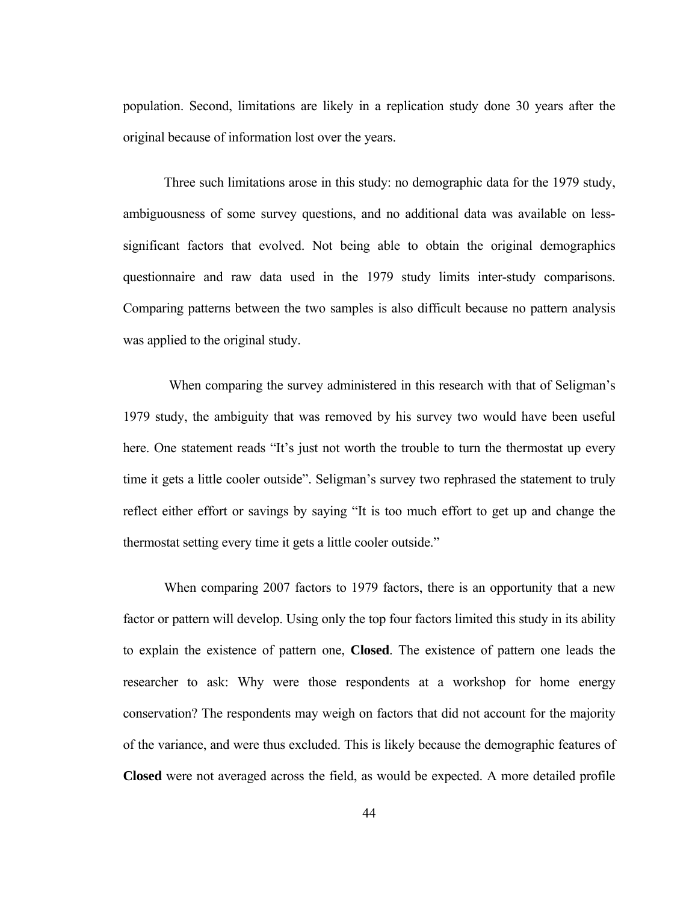population. Second, limitations are likely in a replication study done 30 years after the original because of information lost over the years.

 Three such limitations arose in this study: no demographic data for the 1979 study, ambiguousness of some survey questions, and no additional data was available on lesssignificant factors that evolved. Not being able to obtain the original demographics questionnaire and raw data used in the 1979 study limits inter-study comparisons. Comparing patterns between the two samples is also difficult because no pattern analysis was applied to the original study.

 When comparing the survey administered in this research with that of Seligman's 1979 study, the ambiguity that was removed by his survey two would have been useful here. One statement reads "It's just not worth the trouble to turn the thermostat up every time it gets a little cooler outside". Seligman's survey two rephrased the statement to truly reflect either effort or savings by saying "It is too much effort to get up and change the thermostat setting every time it gets a little cooler outside."

 When comparing 2007 factors to 1979 factors, there is an opportunity that a new factor or pattern will develop. Using only the top four factors limited this study in its ability to explain the existence of pattern one, **Closed**. The existence of pattern one leads the researcher to ask: Why were those respondents at a workshop for home energy conservation? The respondents may weigh on factors that did not account for the majority of the variance, and were thus excluded. This is likely because the demographic features of **Closed** were not averaged across the field, as would be expected. A more detailed profile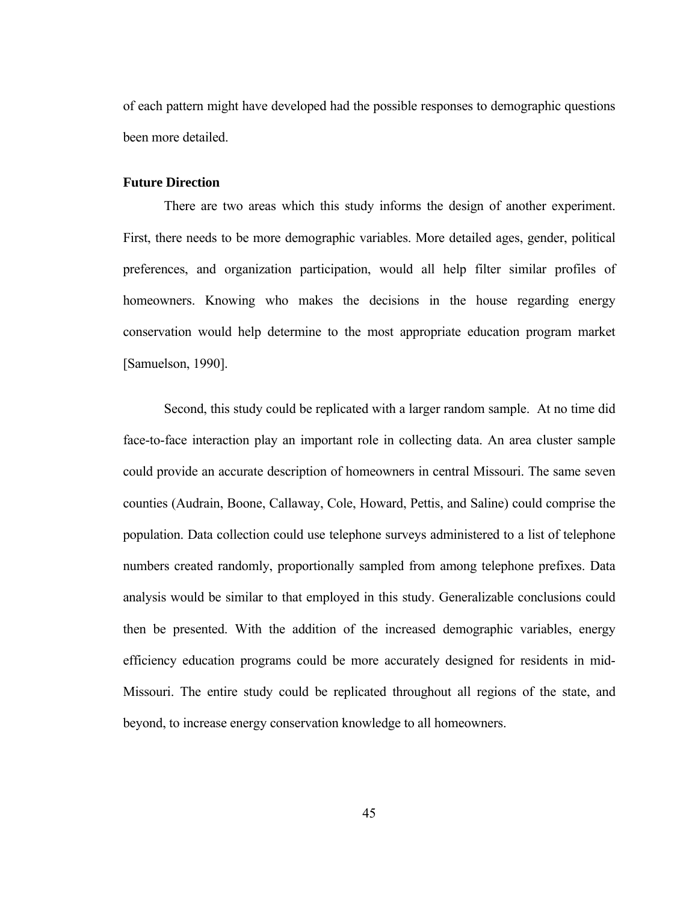of each pattern might have developed had the possible responses to demographic questions been more detailed.

#### **Future Direction**

 There are two areas which this study informs the design of another experiment. First, there needs to be more demographic variables. More detailed ages, gender, political preferences, and organization participation, would all help filter similar profiles of homeowners. Knowing who makes the decisions in the house regarding energy conservation would help determine to the most appropriate education program market [Samuelson, 1990].

 Second, this study could be replicated with a larger random sample. At no time did face-to-face interaction play an important role in collecting data. An area cluster sample could provide an accurate description of homeowners in central Missouri. The same seven counties (Audrain, Boone, Callaway, Cole, Howard, Pettis, and Saline) could comprise the population. Data collection could use telephone surveys administered to a list of telephone numbers created randomly, proportionally sampled from among telephone prefixes. Data analysis would be similar to that employed in this study. Generalizable conclusions could then be presented. With the addition of the increased demographic variables, energy efficiency education programs could be more accurately designed for residents in mid-Missouri. The entire study could be replicated throughout all regions of the state, and beyond, to increase energy conservation knowledge to all homeowners.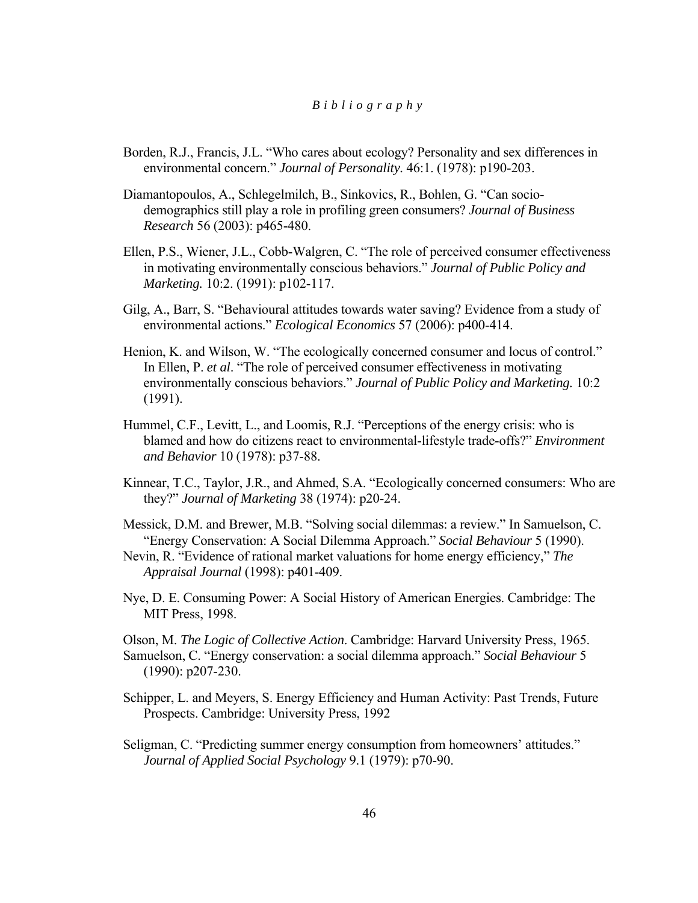- Borden, R.J., Francis, J.L. "Who cares about ecology? Personality and sex differences in environmental concern." *Journal of Personality.* 46:1. (1978): p190-203.
- Diamantopoulos, A., Schlegelmilch, B., Sinkovics, R., Bohlen, G. "Can sociodemographics still play a role in profiling green consumers? *Journal of Business Research* 56 (2003): p465-480.
- Ellen, P.S., Wiener, J.L., Cobb-Walgren, C. "The role of perceived consumer effectiveness in motivating environmentally conscious behaviors." *Journal of Public Policy and Marketing.* 10:2. (1991): p102-117.
- Gilg, A., Barr, S. "Behavioural attitudes towards water saving? Evidence from a study of environmental actions." *Ecological Economics* 57 (2006): p400-414.
- Henion, K. and Wilson, W. "The ecologically concerned consumer and locus of control." In Ellen, P. *et al*. "The role of perceived consumer effectiveness in motivating environmentally conscious behaviors." *Journal of Public Policy and Marketing.* 10:2 (1991).
- Hummel, C.F., Levitt, L., and Loomis, R.J. "Perceptions of the energy crisis: who is blamed and how do citizens react to environmental-lifestyle trade-offs?" *Environment and Behavior* 10 (1978): p37-88.
- Kinnear, T.C., Taylor, J.R., and Ahmed, S.A. "Ecologically concerned consumers: Who are they?" *Journal of Marketing* 38 (1974): p20-24.
- Messick, D.M. and Brewer, M.B. "Solving social dilemmas: a review." In Samuelson, C. "Energy Conservation: A Social Dilemma Approach." *Social Behaviour* 5 (1990).
- Nevin, R. "Evidence of rational market valuations for home energy efficiency," *The Appraisal Journal* (1998): p401-409.
- Nye, D. E. Consuming Power: A Social History of American Energies. Cambridge: The MIT Press, 1998.
- Olson, M. *The Logic of Collective Action*. Cambridge: Harvard University Press, 1965. Samuelson, C. "Energy conservation: a social dilemma approach." *Social Behaviour* 5 (1990): p207-230.
- Schipper, L. and Meyers, S. Energy Efficiency and Human Activity: Past Trends, Future Prospects. Cambridge: University Press, 1992
- Seligman, C. "Predicting summer energy consumption from homeowners' attitudes." *Journal of Applied Social Psychology* 9.1 (1979): p70-90.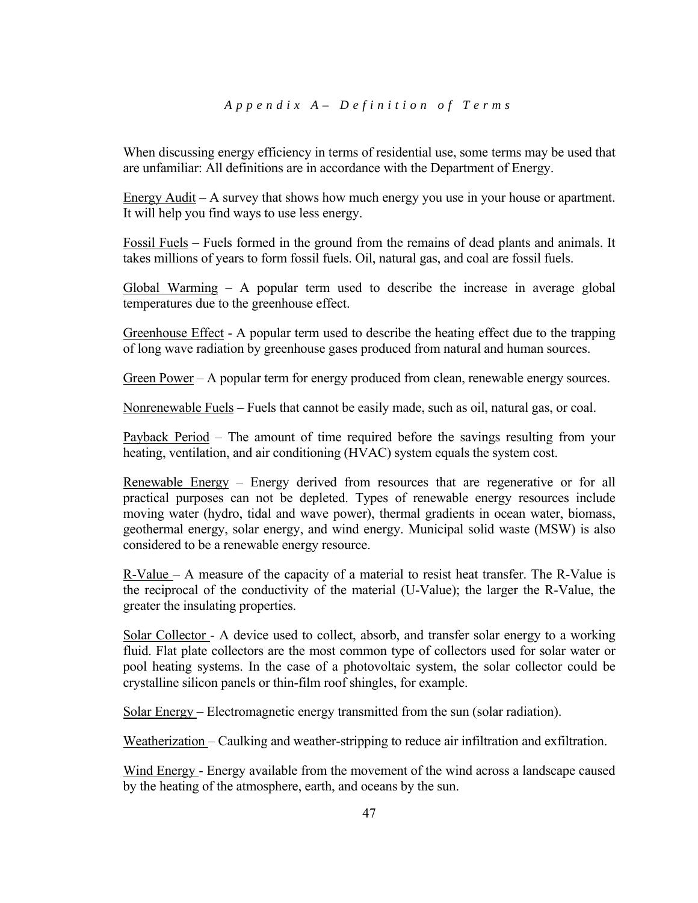### *Appendix A– Definition of Terms*

When discussing energy efficiency in terms of residential use, some terms may be used that are unfamiliar: All definitions are in accordance with the Department of Energy.

Energy Audit – A survey that shows how much energy you use in your house or apartment. It will help you find ways to use less energy.

Fossil Fuels – Fuels formed in the ground from the remains of dead plants and animals. It takes millions of years to form fossil fuels. Oil, natural gas, and coal are fossil fuels.

Global Warming – A popular term used to describe the increase in average global temperatures due to the greenhouse effect.

Greenhouse Effect - A popular term used to describe the heating effect due to the trapping of long wave radiation by greenhouse gases produced from natural and human sources.

Green Power – A popular term for energy produced from clean, renewable energy sources.

Nonrenewable Fuels – Fuels that cannot be easily made, such as oil, natural gas, or coal.

Payback Period – The amount of time required before the savings resulting from your heating, ventilation, and air conditioning (HVAC) system equals the system cost.

Renewable Energy – Energy derived from resources that are regenerative or for all practical purposes can not be depleted. Types of renewable energy resources include moving water (hydro, tidal and wave power), thermal gradients in ocean water, biomass, geothermal energy, solar energy, and wind energy. Municipal solid waste (MSW) is also considered to be a renewable energy resource.

R-Value – A measure of the capacity of a material to resist heat transfer. The R-Value is the reciprocal of the conductivity of the material (U-Value); the larger the R-Value, the greater the insulating properties.

Solar Collector - A device used to collect, absorb, and transfer solar energy to a working fluid. Flat plate collectors are the most common type of collectors used for solar water or pool heating systems. In the case of a photovoltaic system, the solar collector could be crystalline silicon panels or thin-film roof shingles, for example.

Solar Energy – Electromagnetic energy transmitted from the sun (solar radiation).

Weatherization – Caulking and weather-stripping to reduce air infiltration and exfiltration.

Wind Energy - Energy available from the movement of the wind across a landscape caused by the heating of the atmosphere, earth, and oceans by the sun.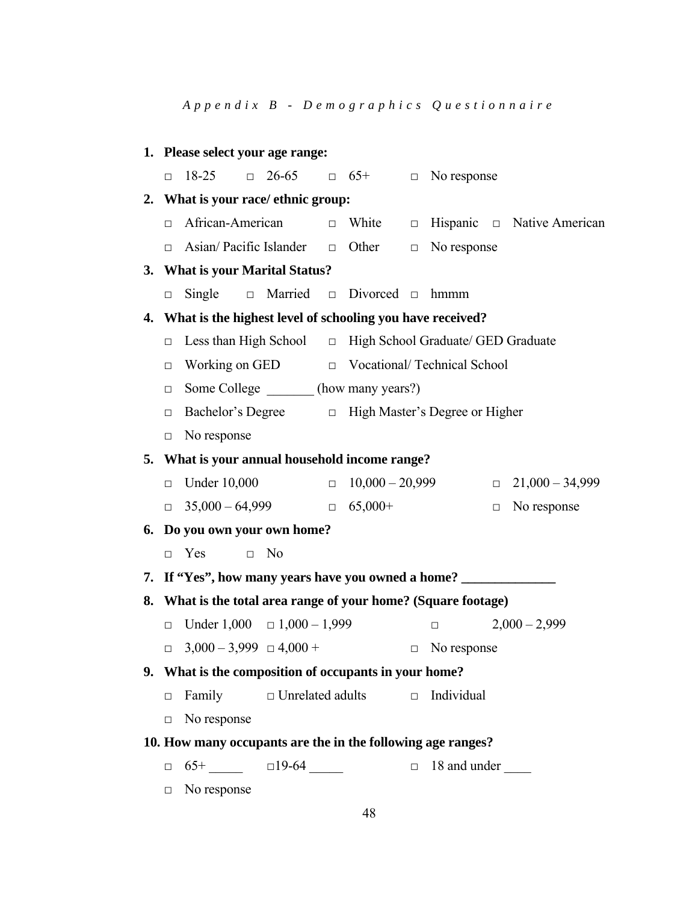*Appendix B - Demographics Questionnaire* 

|    |        | 1. Please select your age range:                             |                          |        |                                |        |                                                                 |                                 |
|----|--------|--------------------------------------------------------------|--------------------------|--------|--------------------------------|--------|-----------------------------------------------------------------|---------------------------------|
|    | $\Box$ | $18 - 25$                                                    |                          |        |                                |        | $\Box$ 26-65 $\Box$ 65+ $\Box$ No response                      |                                 |
|    |        | 2. What is your race/ ethnic group:                          |                          |        |                                |        |                                                                 |                                 |
|    | П.     | African-American                                             |                          | $\Box$ | White                          | $\Box$ |                                                                 | Hispanic $\Box$ Native American |
|    | $\Box$ | Asian/Pacific Islander $\square$                             |                          |        | Other                          | $\Box$ | No response                                                     |                                 |
|    |        | 3. What is your Marital Status?                              |                          |        |                                |        |                                                                 |                                 |
|    | $\Box$ | Single                                                       | $\Box$                   |        | Married $\Box$ Divorced $\Box$ |        | hmmm                                                            |                                 |
|    |        | 4. What is the highest level of schooling you have received? |                          |        |                                |        |                                                                 |                                 |
|    | П.     |                                                              |                          |        |                                |        | Less than High School $\Box$ High School Graduate/ GED Graduate |                                 |
|    | $\Box$ |                                                              |                          |        |                                |        | Working on GED $\Box$ Vocational/Technical School               |                                 |
|    | $\Box$ | Some College _______ (how many years?)                       |                          |        |                                |        |                                                                 |                                 |
|    | $\Box$ |                                                              |                          |        |                                |        | Bachelor's Degree □ High Master's Degree or Higher              |                                 |
|    | $\Box$ | No response                                                  |                          |        |                                |        |                                                                 |                                 |
| 5. |        | What is your annual household income range?                  |                          |        |                                |        |                                                                 |                                 |
|    | $\Box$ | Under 10,000                                                 |                          | $\Box$ | $10,000 - 20,999$              |        | $\Box$                                                          | $21,000 - 34,999$               |
|    | $\Box$ | $35,000 - 64,999$ $\Box$ 65,000+                             |                          |        |                                |        | $\Box$                                                          | No response                     |
|    |        | 6. Do you own your own home?                                 |                          |        |                                |        |                                                                 |                                 |
|    | $\Box$ | Yes                                                          | N <sub>0</sub><br>$\Box$ |        |                                |        |                                                                 |                                 |
|    |        |                                                              |                          |        |                                |        | 7. If "Yes", how many years have you owned a home?              |                                 |
| 8. |        |                                                              |                          |        |                                |        | What is the total area range of your home? (Square footage)     |                                 |
|    |        | □ Under $1,000$ □ $1,000 - 1,999$                            |                          |        |                                |        | $\Box$                                                          | $2,000 - 2,999$                 |
|    |        | $\Box$ 3,000 - 3,999 $\Box$ 4,000 +                          |                          |        |                                |        | $\Box$ No response                                              |                                 |
|    |        | 9. What is the composition of occupants in your home?        |                          |        |                                |        |                                                                 |                                 |
|    | $\Box$ | Family $\Box$ Unrelated adults                               |                          |        |                                | $\Box$ | Individual                                                      |                                 |
|    | $\Box$ | No response                                                  |                          |        |                                |        |                                                                 |                                 |
|    |        | 10. How many occupants are the in the following age ranges?  |                          |        |                                |        |                                                                 |                                 |
|    | $\Box$ | $65+$ $\Box$ $19-64$ $\Box$                                  |                          |        |                                | $\Box$ | 18 and under                                                    |                                 |
|    | $\Box$ | No response                                                  |                          |        |                                |        |                                                                 |                                 |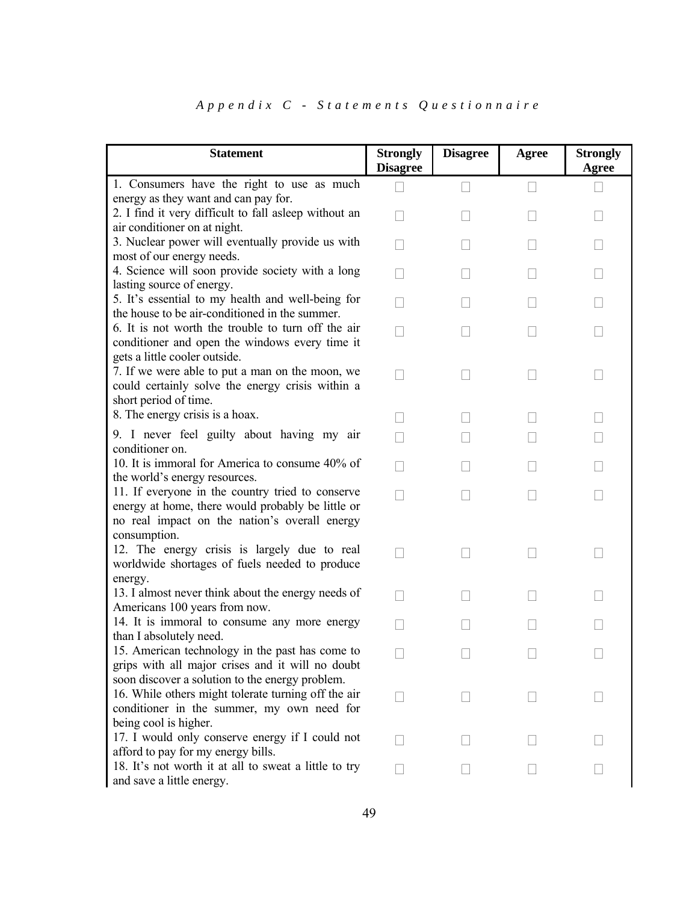# *Appendix C - Statements Questionnaire*

| 1. Consumers have the right to use as much<br>energy as they want and can pay for.<br>2. I find it very difficult to fall asleep without an<br>air conditioner on at night.<br>3. Nuclear power will eventually provide us with<br>most of our energy needs.<br>4. Science will soon provide society with a long<br>lasting source of energy.<br>5. It's essential to my health and well-being for<br>the house to be air-conditioned in the summer.<br>6. It is not worth the trouble to turn off the air<br>conditioner and open the windows every time it<br>gets a little cooler outside.<br>7. If we were able to put a man on the moon, we<br>could certainly solve the energy crisis within a<br>short period of time.<br>8. The energy crisis is a hoax.<br>9. I never feel guilty about having my air<br>conditioner on.<br>10. It is immoral for America to consume 40% of<br>the world's energy resources.<br>11. If everyone in the country tried to conserve<br>energy at home, there would probably be little or<br>no real impact on the nation's overall energy<br>consumption.<br>12. The energy crisis is largely due to real<br>worldwide shortages of fuels needed to produce<br>energy.<br>13. I almost never think about the energy needs of<br>Americans 100 years from now.<br>14. It is immoral to consume any more energy<br>than I absolutely need.<br>15. American technology in the past has come to<br>grips with all major crises and it will no doubt<br>soon discover a solution to the energy problem.<br>16. While others might tolerate turning off the air<br>conditioner in the summer, my own need for<br>being cool is higher. | <b>Statement</b> | <b>Strongly</b><br><b>Disagree</b> | <b>Disagree</b> | Agree | <b>Strongly</b><br><b>Agree</b> |
|------------------------------------------------------------------------------------------------------------------------------------------------------------------------------------------------------------------------------------------------------------------------------------------------------------------------------------------------------------------------------------------------------------------------------------------------------------------------------------------------------------------------------------------------------------------------------------------------------------------------------------------------------------------------------------------------------------------------------------------------------------------------------------------------------------------------------------------------------------------------------------------------------------------------------------------------------------------------------------------------------------------------------------------------------------------------------------------------------------------------------------------------------------------------------------------------------------------------------------------------------------------------------------------------------------------------------------------------------------------------------------------------------------------------------------------------------------------------------------------------------------------------------------------------------------------------------------------------------------------------------------------------------------------------|------------------|------------------------------------|-----------------|-------|---------------------------------|
|                                                                                                                                                                                                                                                                                                                                                                                                                                                                                                                                                                                                                                                                                                                                                                                                                                                                                                                                                                                                                                                                                                                                                                                                                                                                                                                                                                                                                                                                                                                                                                                                                                                                        |                  |                                    |                 |       |                                 |
|                                                                                                                                                                                                                                                                                                                                                                                                                                                                                                                                                                                                                                                                                                                                                                                                                                                                                                                                                                                                                                                                                                                                                                                                                                                                                                                                                                                                                                                                                                                                                                                                                                                                        |                  |                                    |                 |       |                                 |
|                                                                                                                                                                                                                                                                                                                                                                                                                                                                                                                                                                                                                                                                                                                                                                                                                                                                                                                                                                                                                                                                                                                                                                                                                                                                                                                                                                                                                                                                                                                                                                                                                                                                        |                  |                                    |                 |       |                                 |
|                                                                                                                                                                                                                                                                                                                                                                                                                                                                                                                                                                                                                                                                                                                                                                                                                                                                                                                                                                                                                                                                                                                                                                                                                                                                                                                                                                                                                                                                                                                                                                                                                                                                        |                  |                                    |                 |       |                                 |
|                                                                                                                                                                                                                                                                                                                                                                                                                                                                                                                                                                                                                                                                                                                                                                                                                                                                                                                                                                                                                                                                                                                                                                                                                                                                                                                                                                                                                                                                                                                                                                                                                                                                        |                  |                                    |                 |       |                                 |
|                                                                                                                                                                                                                                                                                                                                                                                                                                                                                                                                                                                                                                                                                                                                                                                                                                                                                                                                                                                                                                                                                                                                                                                                                                                                                                                                                                                                                                                                                                                                                                                                                                                                        |                  |                                    |                 |       |                                 |
|                                                                                                                                                                                                                                                                                                                                                                                                                                                                                                                                                                                                                                                                                                                                                                                                                                                                                                                                                                                                                                                                                                                                                                                                                                                                                                                                                                                                                                                                                                                                                                                                                                                                        |                  |                                    |                 |       |                                 |
|                                                                                                                                                                                                                                                                                                                                                                                                                                                                                                                                                                                                                                                                                                                                                                                                                                                                                                                                                                                                                                                                                                                                                                                                                                                                                                                                                                                                                                                                                                                                                                                                                                                                        |                  |                                    |                 |       |                                 |
|                                                                                                                                                                                                                                                                                                                                                                                                                                                                                                                                                                                                                                                                                                                                                                                                                                                                                                                                                                                                                                                                                                                                                                                                                                                                                                                                                                                                                                                                                                                                                                                                                                                                        |                  |                                    |                 |       |                                 |
|                                                                                                                                                                                                                                                                                                                                                                                                                                                                                                                                                                                                                                                                                                                                                                                                                                                                                                                                                                                                                                                                                                                                                                                                                                                                                                                                                                                                                                                                                                                                                                                                                                                                        |                  |                                    |                 |       |                                 |
|                                                                                                                                                                                                                                                                                                                                                                                                                                                                                                                                                                                                                                                                                                                                                                                                                                                                                                                                                                                                                                                                                                                                                                                                                                                                                                                                                                                                                                                                                                                                                                                                                                                                        |                  |                                    |                 |       |                                 |
|                                                                                                                                                                                                                                                                                                                                                                                                                                                                                                                                                                                                                                                                                                                                                                                                                                                                                                                                                                                                                                                                                                                                                                                                                                                                                                                                                                                                                                                                                                                                                                                                                                                                        |                  |                                    |                 |       |                                 |
|                                                                                                                                                                                                                                                                                                                                                                                                                                                                                                                                                                                                                                                                                                                                                                                                                                                                                                                                                                                                                                                                                                                                                                                                                                                                                                                                                                                                                                                                                                                                                                                                                                                                        |                  |                                    |                 |       |                                 |
|                                                                                                                                                                                                                                                                                                                                                                                                                                                                                                                                                                                                                                                                                                                                                                                                                                                                                                                                                                                                                                                                                                                                                                                                                                                                                                                                                                                                                                                                                                                                                                                                                                                                        |                  |                                    |                 |       |                                 |
|                                                                                                                                                                                                                                                                                                                                                                                                                                                                                                                                                                                                                                                                                                                                                                                                                                                                                                                                                                                                                                                                                                                                                                                                                                                                                                                                                                                                                                                                                                                                                                                                                                                                        |                  |                                    |                 |       |                                 |
|                                                                                                                                                                                                                                                                                                                                                                                                                                                                                                                                                                                                                                                                                                                                                                                                                                                                                                                                                                                                                                                                                                                                                                                                                                                                                                                                                                                                                                                                                                                                                                                                                                                                        |                  |                                    |                 |       |                                 |
|                                                                                                                                                                                                                                                                                                                                                                                                                                                                                                                                                                                                                                                                                                                                                                                                                                                                                                                                                                                                                                                                                                                                                                                                                                                                                                                                                                                                                                                                                                                                                                                                                                                                        |                  |                                    |                 |       |                                 |
|                                                                                                                                                                                                                                                                                                                                                                                                                                                                                                                                                                                                                                                                                                                                                                                                                                                                                                                                                                                                                                                                                                                                                                                                                                                                                                                                                                                                                                                                                                                                                                                                                                                                        |                  |                                    |                 |       |                                 |
|                                                                                                                                                                                                                                                                                                                                                                                                                                                                                                                                                                                                                                                                                                                                                                                                                                                                                                                                                                                                                                                                                                                                                                                                                                                                                                                                                                                                                                                                                                                                                                                                                                                                        |                  |                                    |                 |       |                                 |
|                                                                                                                                                                                                                                                                                                                                                                                                                                                                                                                                                                                                                                                                                                                                                                                                                                                                                                                                                                                                                                                                                                                                                                                                                                                                                                                                                                                                                                                                                                                                                                                                                                                                        |                  |                                    |                 |       |                                 |
|                                                                                                                                                                                                                                                                                                                                                                                                                                                                                                                                                                                                                                                                                                                                                                                                                                                                                                                                                                                                                                                                                                                                                                                                                                                                                                                                                                                                                                                                                                                                                                                                                                                                        |                  |                                    |                 |       |                                 |
|                                                                                                                                                                                                                                                                                                                                                                                                                                                                                                                                                                                                                                                                                                                                                                                                                                                                                                                                                                                                                                                                                                                                                                                                                                                                                                                                                                                                                                                                                                                                                                                                                                                                        |                  |                                    |                 |       |                                 |
|                                                                                                                                                                                                                                                                                                                                                                                                                                                                                                                                                                                                                                                                                                                                                                                                                                                                                                                                                                                                                                                                                                                                                                                                                                                                                                                                                                                                                                                                                                                                                                                                                                                                        |                  |                                    |                 |       |                                 |
|                                                                                                                                                                                                                                                                                                                                                                                                                                                                                                                                                                                                                                                                                                                                                                                                                                                                                                                                                                                                                                                                                                                                                                                                                                                                                                                                                                                                                                                                                                                                                                                                                                                                        |                  |                                    |                 |       |                                 |
|                                                                                                                                                                                                                                                                                                                                                                                                                                                                                                                                                                                                                                                                                                                                                                                                                                                                                                                                                                                                                                                                                                                                                                                                                                                                                                                                                                                                                                                                                                                                                                                                                                                                        |                  |                                    |                 |       |                                 |
|                                                                                                                                                                                                                                                                                                                                                                                                                                                                                                                                                                                                                                                                                                                                                                                                                                                                                                                                                                                                                                                                                                                                                                                                                                                                                                                                                                                                                                                                                                                                                                                                                                                                        |                  |                                    |                 |       |                                 |
|                                                                                                                                                                                                                                                                                                                                                                                                                                                                                                                                                                                                                                                                                                                                                                                                                                                                                                                                                                                                                                                                                                                                                                                                                                                                                                                                                                                                                                                                                                                                                                                                                                                                        |                  |                                    |                 |       |                                 |
|                                                                                                                                                                                                                                                                                                                                                                                                                                                                                                                                                                                                                                                                                                                                                                                                                                                                                                                                                                                                                                                                                                                                                                                                                                                                                                                                                                                                                                                                                                                                                                                                                                                                        |                  |                                    |                 |       |                                 |
|                                                                                                                                                                                                                                                                                                                                                                                                                                                                                                                                                                                                                                                                                                                                                                                                                                                                                                                                                                                                                                                                                                                                                                                                                                                                                                                                                                                                                                                                                                                                                                                                                                                                        |                  |                                    |                 |       |                                 |
|                                                                                                                                                                                                                                                                                                                                                                                                                                                                                                                                                                                                                                                                                                                                                                                                                                                                                                                                                                                                                                                                                                                                                                                                                                                                                                                                                                                                                                                                                                                                                                                                                                                                        |                  |                                    |                 |       |                                 |
|                                                                                                                                                                                                                                                                                                                                                                                                                                                                                                                                                                                                                                                                                                                                                                                                                                                                                                                                                                                                                                                                                                                                                                                                                                                                                                                                                                                                                                                                                                                                                                                                                                                                        |                  |                                    |                 |       |                                 |
|                                                                                                                                                                                                                                                                                                                                                                                                                                                                                                                                                                                                                                                                                                                                                                                                                                                                                                                                                                                                                                                                                                                                                                                                                                                                                                                                                                                                                                                                                                                                                                                                                                                                        |                  |                                    |                 |       |                                 |
|                                                                                                                                                                                                                                                                                                                                                                                                                                                                                                                                                                                                                                                                                                                                                                                                                                                                                                                                                                                                                                                                                                                                                                                                                                                                                                                                                                                                                                                                                                                                                                                                                                                                        |                  |                                    |                 |       |                                 |
| 17. I would only conserve energy if I could not                                                                                                                                                                                                                                                                                                                                                                                                                                                                                                                                                                                                                                                                                                                                                                                                                                                                                                                                                                                                                                                                                                                                                                                                                                                                                                                                                                                                                                                                                                                                                                                                                        |                  |                                    |                 |       |                                 |
| afford to pay for my energy bills.                                                                                                                                                                                                                                                                                                                                                                                                                                                                                                                                                                                                                                                                                                                                                                                                                                                                                                                                                                                                                                                                                                                                                                                                                                                                                                                                                                                                                                                                                                                                                                                                                                     |                  |                                    |                 |       |                                 |
| 18. It's not worth it at all to sweat a little to try                                                                                                                                                                                                                                                                                                                                                                                                                                                                                                                                                                                                                                                                                                                                                                                                                                                                                                                                                                                                                                                                                                                                                                                                                                                                                                                                                                                                                                                                                                                                                                                                                  |                  |                                    |                 |       |                                 |
| and save a little energy.                                                                                                                                                                                                                                                                                                                                                                                                                                                                                                                                                                                                                                                                                                                                                                                                                                                                                                                                                                                                                                                                                                                                                                                                                                                                                                                                                                                                                                                                                                                                                                                                                                              |                  |                                    |                 |       |                                 |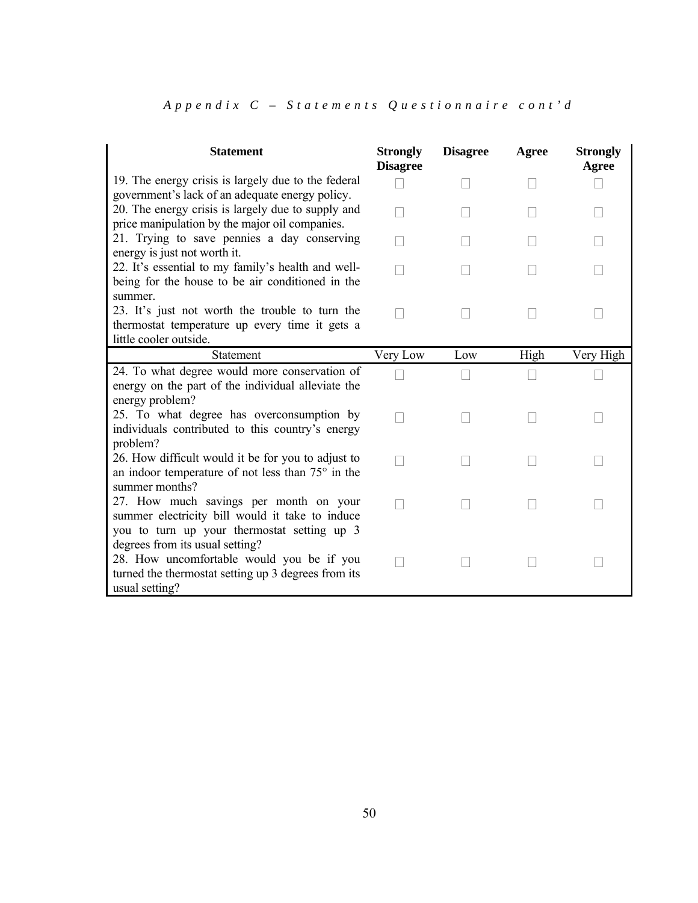| <b>Statement</b>                                                                                                                                      | <b>Strongly</b><br><b>Disagree</b> | <b>Disagree</b> | Agree | <b>Strongly</b><br><b>Agree</b> |
|-------------------------------------------------------------------------------------------------------------------------------------------------------|------------------------------------|-----------------|-------|---------------------------------|
| 19. The energy crisis is largely due to the federal<br>government's lack of an adequate energy policy.                                                |                                    |                 |       |                                 |
| 20. The energy crisis is largely due to supply and<br>price manipulation by the major oil companies.                                                  |                                    |                 |       |                                 |
| 21. Trying to save pennies a day conserving<br>energy is just not worth it.                                                                           |                                    |                 |       |                                 |
| 22. It's essential to my family's health and well-<br>being for the house to be air conditioned in the<br>summer.                                     |                                    |                 |       |                                 |
| 23. It's just not worth the trouble to turn the<br>thermostat temperature up every time it gets a<br>little cooler outside.                           |                                    |                 |       |                                 |
| <b>Statement</b>                                                                                                                                      | Very Low                           | Low             | High  | Very High                       |
| 24. To what degree would more conservation of<br>energy on the part of the individual alleviate the<br>energy problem?                                |                                    |                 |       |                                 |
| 25. To what degree has overconsumption by<br>individuals contributed to this country's energy<br>problem?                                             |                                    |                 |       |                                 |
| 26. How difficult would it be for you to adjust to<br>an indoor temperature of not less than $75^{\circ}$ in the<br>summer months?                    |                                    |                 |       |                                 |
| 27. How much savings per month on your<br>summer electricity bill would it take to induce<br>you to turn up your thermostat setting up 3              |                                    |                 |       |                                 |
| degrees from its usual setting?<br>28. How uncomfortable would you be if you<br>turned the thermostat setting up 3 degrees from its<br>usual setting? |                                    |                 |       |                                 |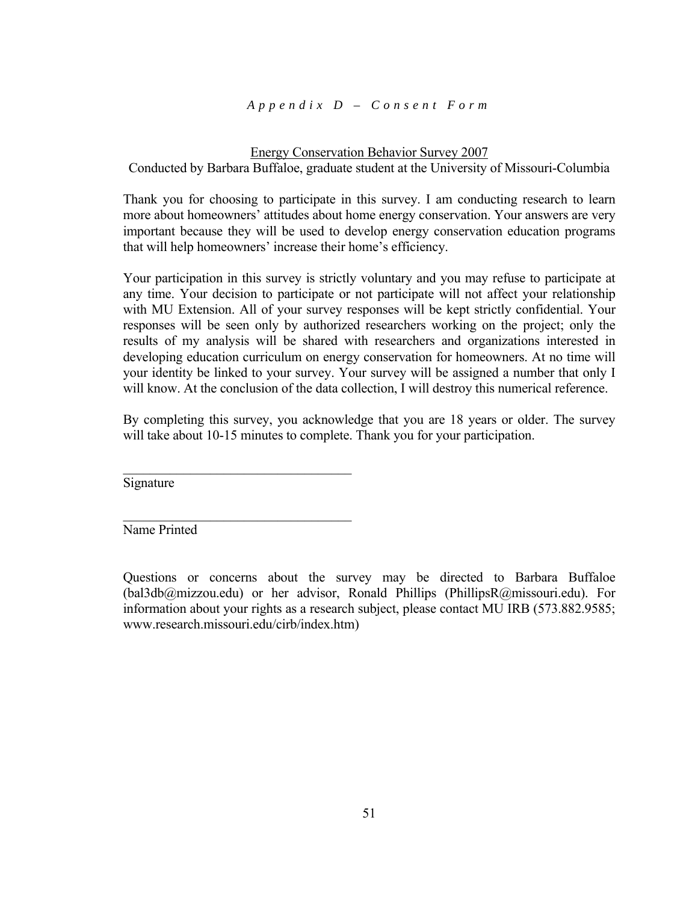## *Appendix D – Consent Form*

## Energy Conservation Behavior Survey 2007

Conducted by Barbara Buffaloe, graduate student at the University of Missouri-Columbia

Thank you for choosing to participate in this survey. I am conducting research to learn more about homeowners' attitudes about home energy conservation. Your answers are very important because they will be used to develop energy conservation education programs that will help homeowners' increase their home's efficiency.

Your participation in this survey is strictly voluntary and you may refuse to participate at any time. Your decision to participate or not participate will not affect your relationship with MU Extension. All of your survey responses will be kept strictly confidential. Your responses will be seen only by authorized researchers working on the project; only the results of my analysis will be shared with researchers and organizations interested in developing education curriculum on energy conservation for homeowners. At no time will your identity be linked to your survey. Your survey will be assigned a number that only I will know. At the conclusion of the data collection, I will destroy this numerical reference.

By completing this survey, you acknowledge that you are 18 years or older. The survey will take about 10-15 minutes to complete. Thank you for your participation.

Signature

Name Printed

 $\mathcal{L}_\text{max}$ 

 $\mathcal{L}_\text{max}$  , and the set of the set of the set of the set of the set of the set of the set of the set of the set of the set of the set of the set of the set of the set of the set of the set of the set of the set of the

Questions or concerns about the survey may be directed to Barbara Buffaloe (bal3db@mizzou.edu) or her advisor, Ronald Phillips (PhillipsR@missouri.edu). For information about your rights as a research subject, please contact MU IRB (573.882.9585; www.research.missouri.edu/cirb/index.htm)